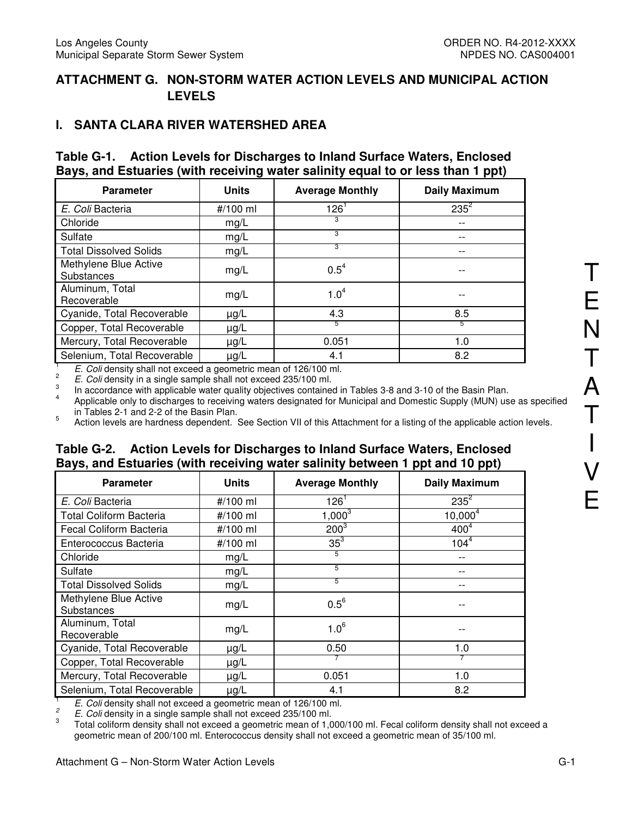# **ATTACHMENT G. NON-STORM WATER ACTION LEVELS AND MUNICIPAL ACTION LEVELS**

# **I. SANTA CLARA RIVER WATERSHED AREA**

#### **Table G-1. Action Levels for Discharges to Inland Surface Waters, Enclosed Bays, and Estuaries (with receiving water salinity equal to or less than 1 ppt)**

| <b>Parameter</b>                    | <b>Units</b> | <b>Average Monthly</b> | <b>Daily Maximum</b> |
|-------------------------------------|--------------|------------------------|----------------------|
| E. Coli Bacteria                    | #/100 ml     | 126                    | $235^2$              |
| Chloride                            | mg/L         | 3                      |                      |
| Sulfate                             | mg/L         | 3                      |                      |
| <b>Total Dissolved Solids</b>       | mg/L         | 3                      |                      |
| Methylene Blue Active<br>Substances | mg/L         | $0.5^4$                |                      |
| Aluminum, Total<br>Recoverable      | mg/L         | 1.0 <sup>4</sup>       |                      |
| Cyanide, Total Recoverable          | $\mu$ g/L    | 4.3                    | 8.5                  |
| Copper, Total Recoverable           | $\mu$ g/L    | 5                      | 5                    |
| Mercury, Total Recoverable          | $\mu$ g/L    | 0.051                  | 1.0                  |
| Selenium, Total Recoverable         | $\mu$ g/L    | 4.1                    | 8.2                  |

1 E. Coli density shall not exceed a geometric mean of 126/100 ml.

2 E. Coli density in a single sample shall not exceed 235/100 ml.

3 In accordance with applicable water quality objectives contained in Tables 3-8 and 3-10 of the Basin Plan.

4 Applicable only to discharges to receiving waters designated for Municipal and Domestic Supply (MUN) use as specified in Tables 2-1 and 2-2 of the Basin Plan.

5 Action levels are hardness dependent. See Section VII of this Attachment for a listing of the applicable action levels.

### **Table G-2. Action Levels for Discharges to Inland Surface Waters, Enclosed Bays, and Estuaries (with receiving water salinity between 1 ppt and 10 ppt)**

| <b>Parameter</b>                    | <b>Units</b> | <b>Average Monthly</b> | <b>Daily Maximum</b> |
|-------------------------------------|--------------|------------------------|----------------------|
| E. Coli Bacteria                    | #/100 ml     | $126^1$                | $235^2$              |
| <b>Total Coliform Bacteria</b>      | #/100 ml     | $1,000^3$              | $10,000^4$           |
| Fecal Coliform Bacteria             | #/100 ml     | $200^{3}$              | 400 <sup>4</sup>     |
| Enterococcus Bacteria               | #/100 ml     | $35^3$                 | $104^{\overline{4}}$ |
| Chloride                            | mg/L         | 5                      | $- -$                |
| Sulfate                             | mg/L         | 5                      |                      |
| <b>Total Dissolved Solids</b>       | mg/L         | 5                      |                      |
| Methylene Blue Active<br>Substances | mg/L         | $0.5^6$                |                      |
| Aluminum, Total<br>Recoverable      | mg/L         | $1.0^{6}$              |                      |
| Cyanide, Total Recoverable          | $\mu$ g/L    | 0.50                   | 1.0                  |
| Copper, Total Recoverable           | $\mu g/L$    |                        |                      |
| Mercury, Total Recoverable          | $\mu$ g/L    | 0.051                  | 1.0                  |
| Selenium, Total Recoverable         | $\mu$ g/L    | 4.1                    | 8.2                  |

1 E. Coli density shall not exceed a geometric mean of 126/100 ml.

2 E. Coli density in a single sample shall not exceed 235/100 ml. 3

 Total coliform density shall not exceed a geometric mean of 1,000/100 ml. Fecal coliform density shall not exceed a geometric mean of 200/100 ml. Enterococcus density shall not exceed a geometric mean of 35/100 ml.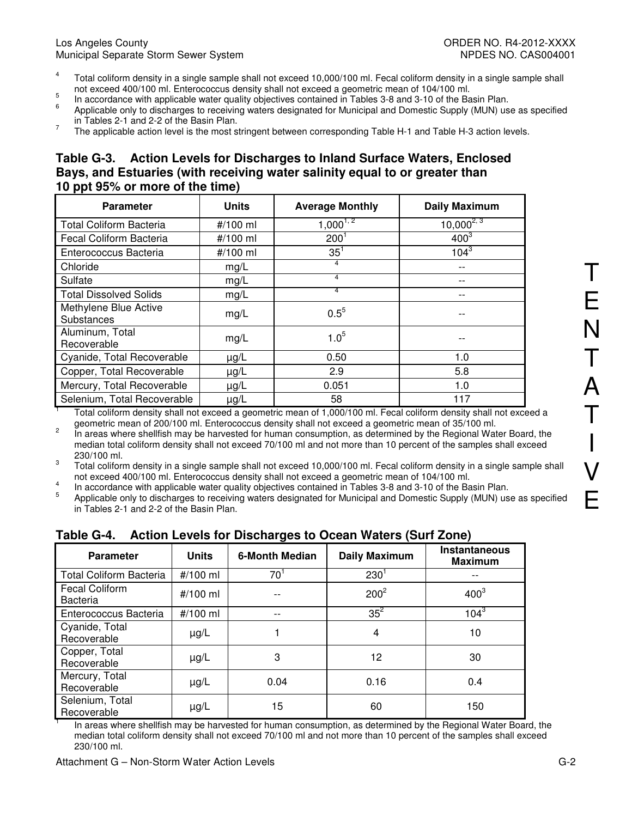#### Los Angeles County ORDER NO. R4-2012-XXXX Municipal Separate Storm Sewer System NPDES NO. CAS004001

- 4 Total coliform density in a single sample shall not exceed 10,000/100 ml. Fecal coliform density in a single sample shall not exceed 400/100 ml. Enterococcus density shall not exceed a geometric mean of 104/100 ml.
- 5 In accordance with applicable water quality objectives contained in Tables 3-8 and 3-10 of the Basin Plan. 6
- Applicable only to discharges to receiving waters designated for Municipal and Domestic Supply (MUN) use as specified in Tables 2-1 and 2-2 of the Basin Plan.
- 7 The applicable action level is the most stringent between corresponding Table H-1 and Table H-3 action levels.

#### **Table G-3. Action Levels for Discharges to Inland Surface Waters, Enclosed Bays, and Estuaries (with receiving water salinity equal to or greater than 10 ppt 95% or more of the time)**

| <b>Parameter</b>                    | <b>Units</b> | <b>Average Monthly</b> | <b>Daily Maximum</b> |
|-------------------------------------|--------------|------------------------|----------------------|
| <b>Total Coliform Bacteria</b>      | #/100 ml     | $1,000^{1,2}$          | $10,000^{2,3}$       |
| Fecal Coliform Bacteria             | #/100 ml     | $200^1$                | $400^3$              |
| Enterococcus Bacteria               | #/100 ml     | $35^1$                 | $104^{3}$            |
| Chloride                            | mg/L         | 4                      |                      |
| Sulfate                             | mg/L         | 4                      |                      |
| <b>Total Dissolved Solids</b>       | mg/L         | 4                      |                      |
| Methylene Blue Active<br>Substances | mg/L         | $0.5^{5}$              |                      |
| Aluminum, Total<br>Recoverable      | mg/L         | $1.0^{5}$              |                      |
| Cyanide, Total Recoverable          | $\mu$ g/L    | 0.50                   | 1.0                  |
| Copper, Total Recoverable           | $\mu$ g/L    | 2.9                    | 5.8                  |
| Mercury, Total Recoverable          | $\mu g/L$    | 0.051                  | 1.0                  |
| Selenium, Total Recoverable         | $\mu$ g/L    | 58                     | 117                  |

1 Total coliform density shall not exceed a geometric mean of 1,000/100 ml. Fecal coliform density shall not exceed a geometric mean of 200/100 ml. Enterococcus density shall not exceed a geometric mean of 35/100 ml.

 $\overline{2}$  In areas where shellfish may be harvested for human consumption, as determined by the Regional Water Board, the median total coliform density shall not exceed 70/100 ml and not more than 10 percent of the samples shall exceed 230/100 ml.

3 Total coliform density in a single sample shall not exceed 10,000/100 ml. Fecal coliform density in a single sample shall not exceed 400/100 ml. Enterococcus density shall not exceed a geometric mean of 104/100 ml.

4 In accordance with applicable water quality objectives contained in Tables 3-8 and 3-10 of the Basin Plan.

5 Applicable only to discharges to receiving waters designated for Municipal and Domestic Supply (MUN) use as specified in Tables 2-1 and 2-2 of the Basin Plan.

| <b>Parameter</b>                         | <b>Units</b> | 6-Month Median | <b>Daily Maximum</b> | <b>Instantaneous</b><br><b>Maximum</b> |
|------------------------------------------|--------------|----------------|----------------------|----------------------------------------|
| <b>Total Coliform Bacteria</b>           | #/100 ml     | $70^1$         | $230^{1}$            |                                        |
| <b>Fecal Coliform</b><br><b>Bacteria</b> | #/100 ml     |                | $200^2$              | $400^3$                                |
| Enterococcus Bacteria                    | #/100 ml     | $- -$          | $35^2$               | $104^{3}$                              |
| Cyanide, Total<br>Recoverable            | $\mu$ g/L    |                | 4                    | 10                                     |
| Copper, Total<br>Recoverable             | $\mu$ g/L    | 3              | 12                   | 30                                     |
| Mercury, Total<br>Recoverable            | $\mu$ g/L    | 0.04           | 0.16                 | 0.4                                    |
| Selenium, Total<br>Recoverable           | $\mu$ g/L    | 15             | 60                   | 150                                    |

#### **Table G-4. Action Levels for Discharges to Ocean Waters (Surf Zone)**

 In areas where shellfish may be harvested for human consumption, as determined by the Regional Water Board, the median total coliform density shall not exceed 70/100 ml and not more than 10 percent of the samples shall exceed 230/100 ml.

1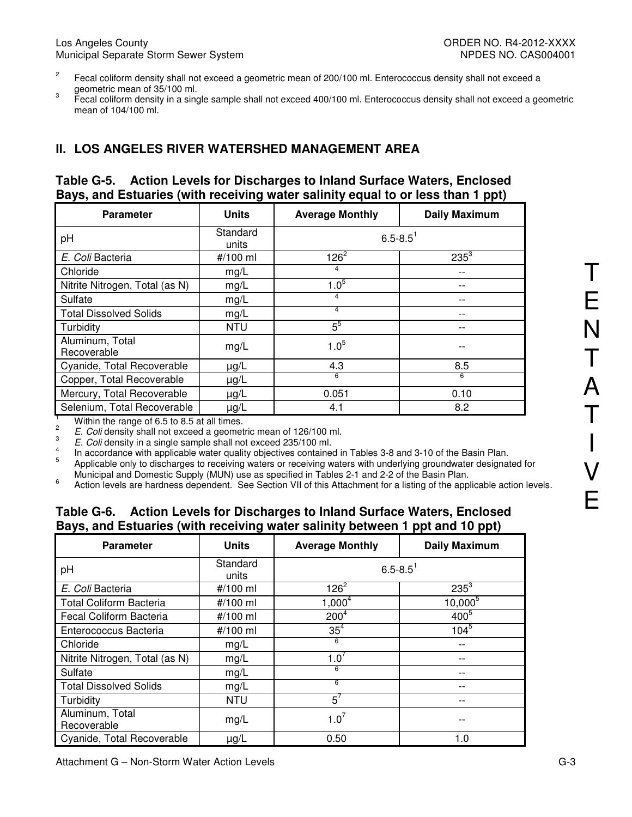- 2 Fecal coliform density shall not exceed a geometric mean of 200/100 ml. Enterococcus density shall not exceed a geometric mean of 35/100 ml.
- 3 Fecal coliform density in a single sample shall not exceed 400/100 ml. Enterococcus density shall not exceed a geometric mean of 104/100 ml.

# **II. LOS ANGELES RIVER WATERSHED MANAGEMENT AREA**

#### **Table G-5. Action Levels for Discharges to Inland Surface Waters, Enclosed Bays, and Estuaries (with receiving water salinity equal to or less than 1 ppt)**

| <b>Parameter</b>               | <b>Units</b>      | <b>Average Monthly</b>   | <b>Daily Maximum</b> |
|--------------------------------|-------------------|--------------------------|----------------------|
| pH                             | Standard<br>units | $6.5 - 8.5$ <sup>1</sup> |                      |
| E. Coli Bacteria               | #/100 ml          | $126^2$                  | $235^{3}$            |
| Chloride                       | mg/L              | 4                        |                      |
| Nitrite Nitrogen, Total (as N) | mg/L              | $1.0^{5}$                |                      |
| Sulfate                        | mg/L              | 4                        |                      |
| <b>Total Dissolved Solids</b>  | mg/L              | 4                        |                      |
| Turbidity                      | <b>NTU</b>        | $5^5$                    |                      |
| Aluminum, Total<br>Recoverable | mg/L              | $1.0^{5}$                |                      |
| Cyanide, Total Recoverable     | $\mu$ g/L         | 4.3                      | 8.5                  |
| Copper, Total Recoverable      | $\mu$ g/L         | 6                        | 6                    |
| Mercury, Total Recoverable     | $\mu$ g/L         | 0.051                    | 0.10                 |
| Selenium, Total Recoverable    | $\mu$ g/L         | 4.1                      | 8.2                  |

Within the range of 6.5 to 8.5 at all times.

2

E. Coli density shall not exceed a geometric mean of 126/100 ml.

3 E. Coli density in a single sample shall not exceed 235/100 ml.

4 In accordance with applicable water quality objectives contained in Tables 3-8 and 3-10 of the Basin Plan.

5 Applicable only to discharges to receiving waters or receiving waters with underlying groundwater designated for Municipal and Domestic Supply (MUN) use as specified in Tables 2-1 and 2-2 of the Basin Plan.

6 Action levels are hardness dependent. See Section VII of this Attachment for a listing of the applicable action levels.

#### **Table G-6. Action Levels for Discharges to Inland Surface Waters, Enclosed Bays, and Estuaries (with receiving water salinity between 1 ppt and 10 ppt)**

| <b>Parameter</b>               | <b>Units</b>      | <b>Average Monthly</b>   | <b>Daily Maximum</b> |
|--------------------------------|-------------------|--------------------------|----------------------|
| pH                             | Standard<br>units | $6.5 - 8.5$ <sup>1</sup> |                      |
| E. Coli Bacteria               | #/100 ml          | $126^2$                  | $235^3$              |
| <b>Total Coliform Bacteria</b> | #/100 ml          | $1,000^4$                | $10,000^5$           |
| Fecal Coliform Bacteria        | #/100 ml          | 200 <sup>4</sup>         | $400^{5}$            |
| Enterococcus Bacteria          | #/100 ml          | 35 <sup>4</sup>          | $104^{5}$            |
| Chloride                       | mg/L              | 6                        |                      |
| Nitrite Nitrogen, Total (as N) | mg/L              | 1.0 <sup>′</sup>         |                      |
| Sulfate                        | mg/L              | 6                        |                      |
| <b>Total Dissolved Solids</b>  | mg/L              | 6                        |                      |
| Turbidity                      | <b>NTU</b>        | $5^7$                    |                      |
| Aluminum, Total<br>Recoverable | mg/L              | $1.0^7$                  |                      |
| Cyanide, Total Recoverable     | $\mu$ g/L         | 0.50                     | 1.0                  |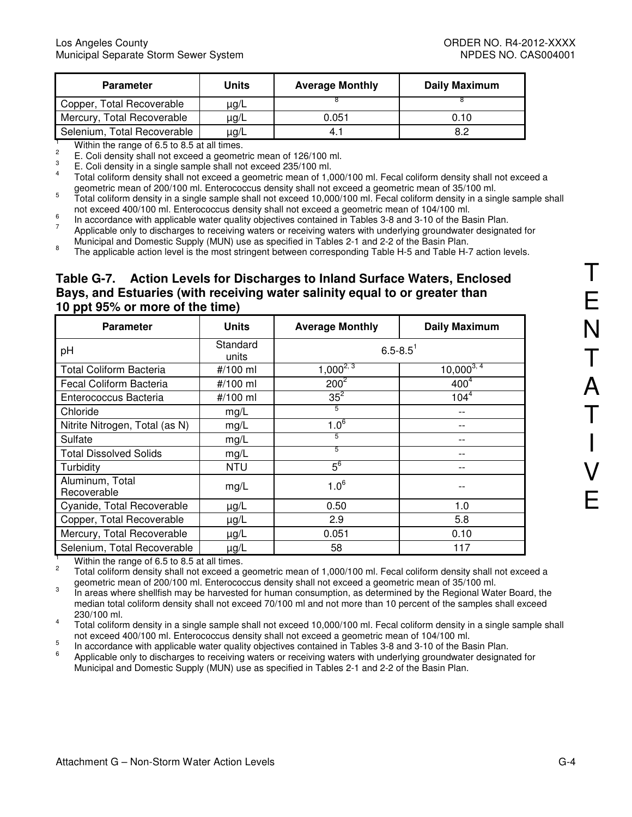| <b>Parameter</b>                                                                                                                                                                                                                   | Units     | <b>Average Monthly</b> | <b>Daily Maximum</b> |  |  |
|------------------------------------------------------------------------------------------------------------------------------------------------------------------------------------------------------------------------------------|-----------|------------------------|----------------------|--|--|
| Copper, Total Recoverable                                                                                                                                                                                                          | µg/L      |                        |                      |  |  |
| Mercury, Total Recoverable                                                                                                                                                                                                         | $\mu$ g/L | 0.051                  | 0.10                 |  |  |
| Selenium, Total Recoverable                                                                                                                                                                                                        | $\mu$ g/L | 4.1                    | 8.2                  |  |  |
| $\mathbf{M}^{(1)}$ . The set of the set of the set of the set of the set of the set of the set of the set of the set of the set of the set of the set of the set of the set of the set of the set of the set of the set of the set |           |                        |                      |  |  |

Within the range of 6.5 to 8.5 at all times.

2 E. Coli density shall not exceed a geometric mean of 126/100 ml. 3

E. Coli density in a single sample shall not exceed 235/100 ml.

4 Total coliform density shall not exceed a geometric mean of 1,000/100 ml. Fecal coliform density shall not exceed a geometric mean of 200/100 ml. Enterococcus density shall not exceed a geometric mean of 35/100 ml.

5 Total coliform density in a single sample shall not exceed 10,000/100 ml. Fecal coliform density in a single sample shall not exceed 400/100 ml. Enterococcus density shall not exceed a geometric mean of 104/100 ml. 6

In accordance with applicable water quality objectives contained in Tables 3-8 and 3-10 of the Basin Plan.

7 Applicable only to discharges to receiving waters or receiving waters with underlying groundwater designated for Municipal and Domestic Supply (MUN) use as specified in Tables 2-1 and 2-2 of the Basin Plan.

8 The applicable action level is the most stringent between corresponding Table H-5 and Table H-7 action levels.

# **Table G-7. Action Levels for Discharges to Inland Surface Waters, Enclosed Bays, and Estuaries (with receiving water salinity equal to or greater than 10 ppt 95% or more of the time)**

| <b>Parameter</b>               | <b>Units</b>      | <b>Average Monthly</b>   | <b>Daily Maximum</b> |
|--------------------------------|-------------------|--------------------------|----------------------|
| pH                             | Standard<br>units | $6.5 - 8.5$ <sup>1</sup> |                      |
| <b>Total Coliform Bacteria</b> | #/100 ml          | $1,000^{2,3}$            | $10,000^{3,4}$       |
| Fecal Coliform Bacteria        | #/100 ml          | $200^2$                  | 400 <sup>4</sup>     |
| Enterococcus Bacteria          | #/100 ml          | $35^2$                   | $104^{4}$            |
| Chloride                       | mg/L              | 5                        |                      |
| Nitrite Nitrogen, Total (as N) | mg/L              | $1.0^{6}$                |                      |
| Sulfate                        | mg/L              | 5                        |                      |
| <b>Total Dissolved Solids</b>  | mg/L              | 5                        |                      |
| Turbidity                      | <b>NTU</b>        | $5^6$                    |                      |
| Aluminum, Total<br>Recoverable | mg/L              | $1.0^{6}$                |                      |
| Cyanide, Total Recoverable     | $\mu g/L$         | 0.50                     | 1.0                  |
| Copper, Total Recoverable      | $\mu g/L$         | 2.9                      | 5.8                  |
| Mercury, Total Recoverable     | $\mu g/L$         | 0.051                    | 0.10                 |
| Selenium, Total Recoverable    | $\mu g/L$         | 58                       | 117                  |

1 Within the range of 6.5 to 8.5 at all times.

 $\mathfrak{p}$  Total coliform density shall not exceed a geometric mean of 1,000/100 ml. Fecal coliform density shall not exceed a geometric mean of 200/100 ml. Enterococcus density shall not exceed a geometric mean of 35/100 ml.

3 In areas where shellfish may be harvested for human consumption, as determined by the Regional Water Board, the median total coliform density shall not exceed 70/100 ml and not more than 10 percent of the samples shall exceed 230/100 ml. 4

 Total coliform density in a single sample shall not exceed 10,000/100 ml. Fecal coliform density in a single sample shall not exceed 400/100 ml. Enterococcus density shall not exceed a geometric mean of 104/100 ml.

5 In accordance with applicable water quality objectives contained in Tables 3-8 and 3-10 of the Basin Plan.

6 Applicable only to discharges to receiving waters or receiving waters with underlying groundwater designated for Municipal and Domestic Supply (MUN) use as specified in Tables 2-1 and 2-2 of the Basin Plan.

T

E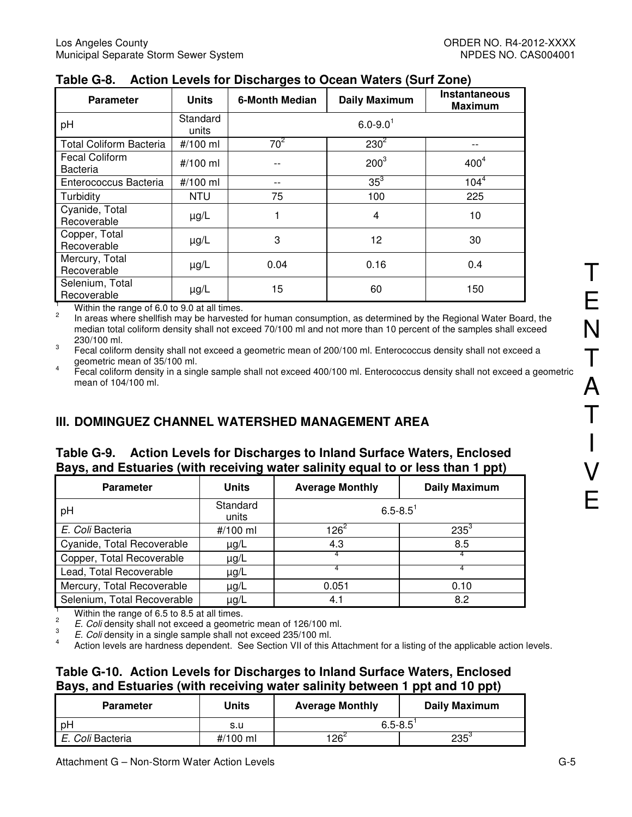| <b>Parameter</b>                         | <b>Units</b>      | <b>6-Month Median</b> | <b>Daily Maximum</b>     | <b>Instantaneous</b><br><b>Maximum</b> |
|------------------------------------------|-------------------|-----------------------|--------------------------|----------------------------------------|
| pH                                       | Standard<br>units |                       | $6.0 - 9.0$ <sup>1</sup> |                                        |
| <b>Total Coliform Bacteria</b>           | #/100 ml          | $70^2$                | $230^2$                  | $- -$                                  |
| <b>Fecal Coliform</b><br><b>Bacteria</b> | # $/100$ ml       |                       | 200 <sup>3</sup>         | 400 <sup>4</sup>                       |
| Enterococcus Bacteria                    | #/100 ml          | --                    | $35^3$                   | $104^{4}$                              |
| Turbidity                                | <b>NTU</b>        | 75                    | 100                      | 225                                    |
| Cyanide, Total<br>Recoverable            | $\mu g/L$         |                       | 4                        | 10                                     |
| Copper, Total<br>Recoverable             | $\mu$ g/L         | 3                     | 12                       | 30                                     |
| Mercury, Total<br>Recoverable            | $\mu$ g/L         | 0.04                  | 0.16                     | 0.4                                    |
| Selenium, Total<br>Recoverable           | $\mu$ g/L         | 15                    | 60                       | 150                                    |

### **Table G-8. Action Levels for Discharges to Ocean Waters (Surf Zone)**

1 Within the range of 6.0 to 9.0 at all times.

2 In areas where shellfish may be harvested for human consumption, as determined by the Regional Water Board, the median total coliform density shall not exceed 70/100 ml and not more than 10 percent of the samples shall exceed 230/100 ml.

3 Fecal coliform density shall not exceed a geometric mean of 200/100 ml. Enterococcus density shall not exceed a geometric mean of 35/100 ml. 4

 Fecal coliform density in a single sample shall not exceed 400/100 ml. Enterococcus density shall not exceed a geometric mean of 104/100 ml.

# **III. DOMINGUEZ CHANNEL WATERSHED MANAGEMENT AREA**

#### **Table G-9. Action Levels for Discharges to Inland Surface Waters, Enclosed Bays, and Estuaries (with receiving water salinity equal to or less than 1 ppt)**

| . .                         | ÷                 |                        | .                    |
|-----------------------------|-------------------|------------------------|----------------------|
| <b>Parameter</b>            | <b>Units</b>      | <b>Average Monthly</b> | <b>Daily Maximum</b> |
| pH                          | Standard<br>units | $6.5 - 8.5$            |                      |
| E. Coli Bacteria            | #/100 ml          | $126^2$                | $235^{3}$            |
| Cyanide, Total Recoverable  | $\mu$ g/L         | 4.3                    | 8.5                  |
| Copper, Total Recoverable   | $\mu$ g/L         |                        |                      |
| Lead, Total Recoverable     | $\mu$ g/L         | 4                      | 4                    |
| Mercury, Total Recoverable  | $\mu$ g/L         | 0.051                  | 0.10                 |
| Selenium, Total Recoverable | µg/L              | 4.1                    | 8.2                  |

1 Within the range of 6.5 to 8.5 at all times.

2 E. Coli density shall not exceed a geometric mean of 126/100 ml.

3 E. Coli density in a single sample shall not exceed 235/100 ml.

4 Action levels are hardness dependent. See Section VII of this Attachment for a listing of the applicable action levels.

# **Table G-10. Action Levels for Discharges to Inland Surface Waters, Enclosed Bays, and Estuaries (with receiving water salinity between 1 ppt and 10 ppt)**

| <b>Parameter</b> | Units    | <b>Average Monthly</b> | Daily Maximum |  |
|------------------|----------|------------------------|---------------|--|
| pH               | s.u      | $6.5 - 8.5$            |               |  |
| E. Coli Bacteria | #/100 ml | $126^2$                | $235^3$       |  |

T

E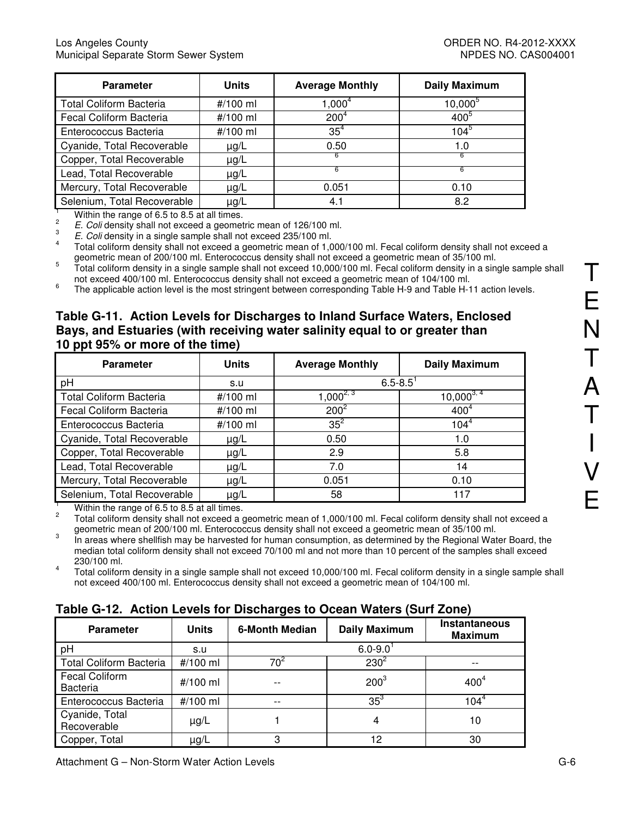| <b>Parameter</b>               | <b>Units</b> | <b>Average Monthly</b> | <b>Daily Maximum</b> |
|--------------------------------|--------------|------------------------|----------------------|
| <b>Total Coliform Bacteria</b> | #/100 ml     | $1,000^4$              | $10,000^5$           |
| Fecal Coliform Bacteria        | #/100 ml     | 200 <sup>4</sup>       | $400^5$              |
| Enterococcus Bacteria          | #/100 ml     | $35^4$                 | 104 <sup>5</sup>     |
| Cyanide, Total Recoverable     | $\mu$ g/L    | 0.50                   | 1.0                  |
| Copper, Total Recoverable      | $\mu$ g/L    |                        |                      |
| Lead, Total Recoverable        | $\mu$ g/L    | 6                      | 6                    |
| Mercury, Total Recoverable     | $\mu$ g/L    | 0.051                  | 0.10                 |
| Selenium, Total Recoverable    | $\mu$ g/L    | 4.1                    | 8.2                  |

1 Within the range of 6.5 to 8.5 at all times.

2 E. Coli density shall not exceed a geometric mean of 126/100 ml.

3 E. Coli density in a single sample shall not exceed 235/100 ml.

4 Total coliform density shall not exceed a geometric mean of 1,000/100 ml. Fecal coliform density shall not exceed a geometric mean of 200/100 ml. Enterococcus density shall not exceed a geometric mean of 35/100 ml.

5 Total coliform density in a single sample shall not exceed 10,000/100 ml. Fecal coliform density in a single sample shall not exceed 400/100 ml. Enterococcus density shall not exceed a geometric mean of 104/100 ml.

6 The applicable action level is the most stringent between corresponding Table H-9 and Table H-11 action levels.

## **Table G-11. Action Levels for Discharges to Inland Surface Waters, Enclosed Bays, and Estuaries (with receiving water salinity equal to or greater than 10 ppt 95% or more of the time)**

| <b>Parameter</b>               | <b>Units</b> | <b>Average Monthly</b> | <b>Daily Maximum</b> |
|--------------------------------|--------------|------------------------|----------------------|
| pH                             | s.u          | $6.5 - 8.5$            |                      |
| <b>Total Coliform Bacteria</b> | #/100 ml     | $1,000^{2,3}$          | $10,000^{3,4}$       |
| Fecal Coliform Bacteria        | #/100 ml     | $200^2$                | 400 <sup>4</sup>     |
| Enterococcus Bacteria          | #/100 ml     | $35^2$                 | $104^{4}$            |
| Cyanide, Total Recoverable     | $\mu$ g/L    | 0.50                   | 1.0                  |
| Copper, Total Recoverable      | $\mu$ g/L    | 2.9                    | 5.8                  |
| Lead, Total Recoverable        | $\mu$ g/L    | 7.0                    | 14                   |
| Mercury, Total Recoverable     | $\mu$ g/L    | 0.051                  | 0.10                 |
| Selenium, Total Recoverable    | $\mu$ g/L    | 58                     | 117                  |

1 Within the range of 6.5 to 8.5 at all times.

 $\overline{2}$  Total coliform density shall not exceed a geometric mean of 1,000/100 ml. Fecal coliform density shall not exceed a geometric mean of 200/100 ml. Enterococcus density shall not exceed a geometric mean of 35/100 ml.

3 In areas where shellfish may be harvested for human consumption, as determined by the Regional Water Board, the median total coliform density shall not exceed 70/100 ml and not more than 10 percent of the samples shall exceed 230/100 ml. 4

 Total coliform density in a single sample shall not exceed 10,000/100 ml. Fecal coliform density in a single sample shall not exceed 400/100 ml. Enterococcus density shall not exceed a geometric mean of 104/100 ml.

# **Table G-12. Action Levels for Discharges to Ocean Waters (Surf Zone)**

| <b>Parameter</b>                         | <b>Units</b> | <b>6-Month Median</b> | <b>Daily Maximum</b> | <b>Instantaneous</b><br><b>Maximum</b> |
|------------------------------------------|--------------|-----------------------|----------------------|----------------------------------------|
| pH                                       | s.u          |                       | $6.0 - 9.0$          |                                        |
| <b>Total Coliform Bacteria</b>           | #/100 ml     |                       | $230^2$              |                                        |
| <b>Fecal Coliform</b><br><b>Bacteria</b> | #/100 ml     |                       | $200^3$              | 400 <sup>4</sup>                       |
| Enterococcus Bacteria                    | #/100 ml     | $- -$                 | $35^3$               | $104^4$                                |
| Cyanide, Total<br>Recoverable            | $\mu$ g/L    |                       | 4                    | 10                                     |
| Copper, Total                            | µg/L         |                       |                      | 30                                     |

T

E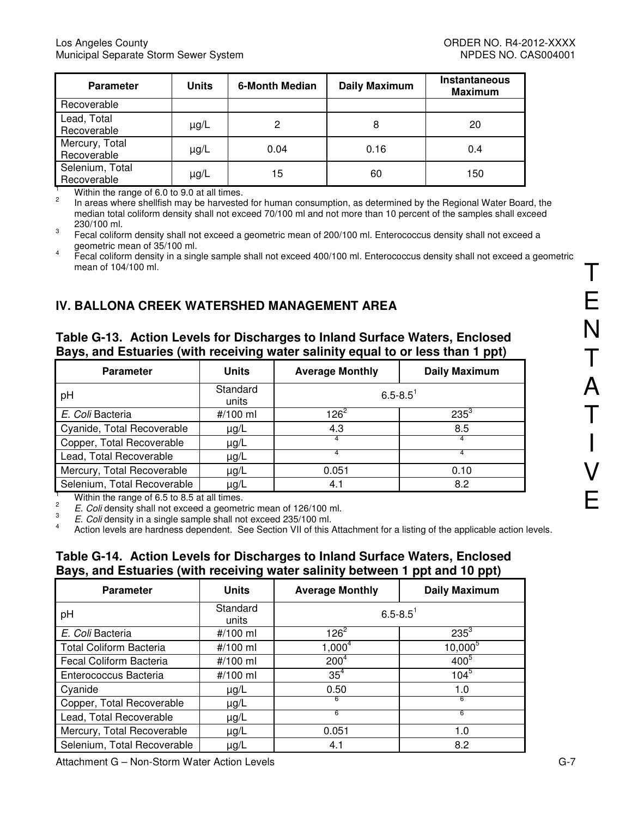| <b>Parameter</b>               | <b>Units</b> | <b>6-Month Median</b> | <b>Daily Maximum</b> | <b>Instantaneous</b><br><b>Maximum</b> |
|--------------------------------|--------------|-----------------------|----------------------|----------------------------------------|
| Recoverable                    |              |                       |                      |                                        |
| Lead, Total<br>Recoverable     | $\mu$ g/L    | 2                     | 8                    | 20                                     |
| Mercury, Total<br>Recoverable  | $\mu$ g/L    | 0.04                  | 0.16                 | 0.4                                    |
| Selenium, Total<br>Recoverable | $\mu$ g/L    | 15                    | 60                   | 150                                    |

Within the range of 6.0 to 9.0 at all times.

2 In areas where shellfish may be harvested for human consumption, as determined by the Regional Water Board, the median total coliform density shall not exceed 70/100 ml and not more than 10 percent of the samples shall exceed 230/100 ml.

3 Fecal coliform density shall not exceed a geometric mean of 200/100 ml. Enterococcus density shall not exceed a geometric mean of 35/100 ml.

4 Fecal coliform density in a single sample shall not exceed 400/100 ml. Enterococcus density shall not exceed a geometric mean of 104/100 ml.

# **IV. BALLONA CREEK WATERSHED MANAGEMENT AREA**

## **Table G-13. Action Levels for Discharges to Inland Surface Waters, Enclosed Bays, and Estuaries (with receiving water salinity equal to or less than 1 ppt)**

| <b>Parameter</b>                        | <b>Units</b>      | <b>Average Monthly</b> | <b>Daily Maximum</b> |
|-----------------------------------------|-------------------|------------------------|----------------------|
| pH                                      | Standard<br>units | $6.5 - 8.5$            |                      |
| E. Coli Bacteria                        | #/100 ml          | $126^2$                | $235^{3}$            |
| Cyanide, Total Recoverable              | $\mu$ g/L         | 4.3                    | 8.5                  |
| Copper, Total Recoverable               | $\mu$ g/L         |                        |                      |
| Lead, Total Recoverable                 | $\mu$ g/L         |                        |                      |
| Mercury, Total Recoverable<br>$\mu$ g/L |                   | 0.051                  | 0.10                 |
| Selenium, Total Recoverable             | $\mu$ g/L         | 4.1                    | 8.2                  |

1 Within the range of 6.5 to 8.5 at all times.  $\overline{2}$ 

E. Coli density shall not exceed a geometric mean of 126/100 ml.

3 E. Coli density in a single sample shall not exceed 235/100 ml.

4 Action levels are hardness dependent. See Section VII of this Attachment for a listing of the applicable action levels.

### **Table G-14. Action Levels for Discharges to Inland Surface Waters, Enclosed Bays, and Estuaries (with receiving water salinity between 1 ppt and 10 ppt)**

| <b>Parameter</b>               | <b>Units</b>      | <b>Average Monthly</b>   | <b>Daily Maximum</b> |
|--------------------------------|-------------------|--------------------------|----------------------|
| pH                             | Standard<br>units | $6.5 - 8.5$ <sup>1</sup> |                      |
| E. Coli Bacteria               | #/100 ml          | $126^2$                  | $235^3$              |
| <b>Total Coliform Bacteria</b> | #/100 ml          | $1,000^4$                | $10,000^{5}$         |
| Fecal Coliform Bacteria        | #/100 ml          | 200 <sup>4</sup>         | $400^{5}$            |
| Enterococcus Bacteria          | #/100 ml          | $35^4$                   | $104^{5}$            |
| Cyanide                        | $\mu$ g/L         | 0.50                     | 1.0                  |
| Copper, Total Recoverable      | $\mu$ g/L         | 6                        | 6                    |
| Lead, Total Recoverable        | $\mu$ g/L         | 6                        | 6                    |
| Mercury, Total Recoverable     | $\mu$ g/L         | 0.051                    | 1.0                  |
| Selenium, Total Recoverable    | µg/L              | 4.1                      | 8.2                  |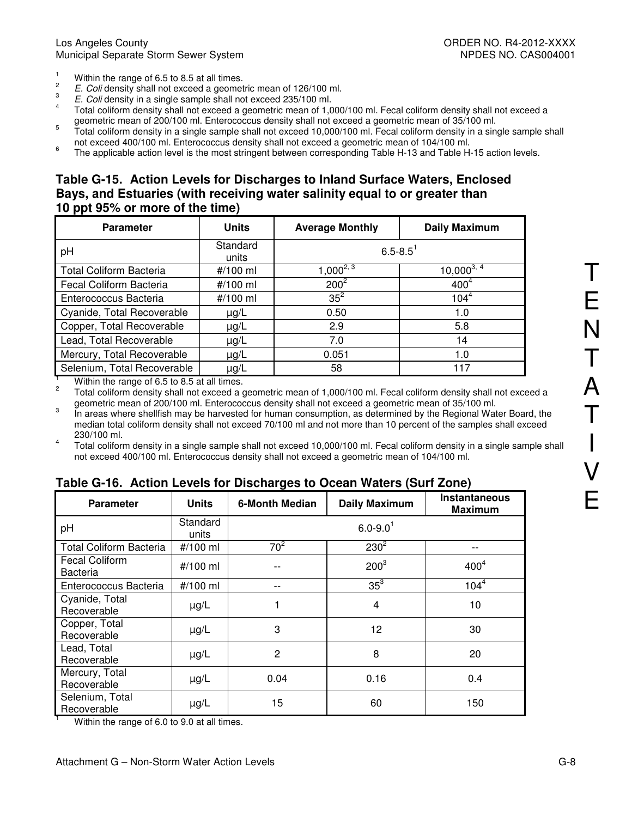- 1 Within the range of 6.5 to 8.5 at all times.
- 2 E. Coli density shall not exceed a geometric mean of 126/100 ml.
- 3 E. Coli density in a single sample shall not exceed 235/100 ml.
- 4 Total coliform density shall not exceed a geometric mean of 1,000/100 ml. Fecal coliform density shall not exceed a geometric mean of 200/100 ml. Enterococcus density shall not exceed a geometric mean of 35/100 ml.
- 5 Total coliform density in a single sample shall not exceed 10,000/100 ml. Fecal coliform density in a single sample shall not exceed 400/100 ml. Enterococcus density shall not exceed a geometric mean of 104/100 ml.
- 6 The applicable action level is the most stringent between corresponding Table H-13 and Table H-15 action levels.

#### **Table G-15. Action Levels for Discharges to Inland Surface Waters, Enclosed Bays, and Estuaries (with receiving water salinity equal to or greater than 10 ppt 95% or more of the time)**

| <b>Parameter</b>               | <b>Units</b>      | <b>Average Monthly</b>   | <b>Daily Maximum</b> |
|--------------------------------|-------------------|--------------------------|----------------------|
| pH                             | Standard<br>units | $6.5 - 8.5$ <sup>1</sup> |                      |
| <b>Total Coliform Bacteria</b> | #/100 ml          | $1,000^{2,3}$            | $10,000^{3,4}$       |
| Fecal Coliform Bacteria        | #/100 ml          | $200^2$                  | 400 <sup>4</sup>     |
| Enterococcus Bacteria          | #/100 ml          | $35^2$                   | $104^{4}$            |
| Cyanide, Total Recoverable     | $\mu$ g/L         | 0.50                     | 1.0                  |
| Copper, Total Recoverable      | $\mu$ g/L         | 2.9                      | 5.8                  |
| Lead, Total Recoverable        | $\mu$ g/L         | 7.0                      | 14                   |
| Mercury, Total Recoverable     | $\mu$ g/L         | 0.051                    | 1.0                  |
| Selenium, Total Recoverable    | $\mu$ g/L         | 58                       | 117                  |

1 Within the range of 6.5 to 8.5 at all times.

2 Total coliform density shall not exceed a geometric mean of 1,000/100 ml. Fecal coliform density shall not exceed a geometric mean of 200/100 ml. Enterococcus density shall not exceed a geometric mean of 35/100 ml.

3 In areas where shellfish may be harvested for human consumption, as determined by the Regional Water Board, the median total coliform density shall not exceed 70/100 ml and not more than 10 percent of the samples shall exceed 230/100 ml.

4 Total coliform density in a single sample shall not exceed 10,000/100 ml. Fecal coliform density in a single sample shall not exceed 400/100 ml. Enterococcus density shall not exceed a geometric mean of 104/100 ml.

| <b>Parameter</b>                                       | <b>Units</b>      | <b>6-Month Median</b> | <b>Daily Maximum</b>     | Instantaneous<br><b>Maximum</b> |
|--------------------------------------------------------|-------------------|-----------------------|--------------------------|---------------------------------|
| pH                                                     | Standard<br>units |                       | $6.0 - 9.0$ <sup>1</sup> |                                 |
| <b>Total Coliform Bacteria</b>                         | #/100 ml          | $70^2$                | $230^{2}$                |                                 |
| <b>Fecal Coliform</b><br><b>Bacteria</b>               | #/100 ml          |                       | 200 <sup>3</sup>         | 400 <sup>4</sup>                |
| Enterococcus Bacteria                                  | #/100 ml          |                       | $35^3$                   | $104^{4}$                       |
| Cyanide, Total<br>Recoverable                          | $\mu$ g/L         |                       | 4                        | 10                              |
| Copper, Total<br>Recoverable                           | $\mu g/L$         | 3                     | 12                       | 30                              |
| Lead, Total<br>Recoverable                             | $\mu$ g/L         | $\overline{2}$        | 8                        | 20                              |
| Mercury, Total<br>Recoverable                          | $\mu g/L$         | 0.04                  | 0.16                     | 0.4                             |
| Selenium, Total<br>Recoverable                         | $\mu$ g/L         | 15                    | 60                       | 150                             |
| Within the rappe of $E \cap f_0 \cap f_1$ of all times |                   |                       |                          |                                 |

### **Table G-16. Action Levels for Discharges to Ocean Waters (Surf Zone)**

Within the range of 6.0 to 9.0 at all times.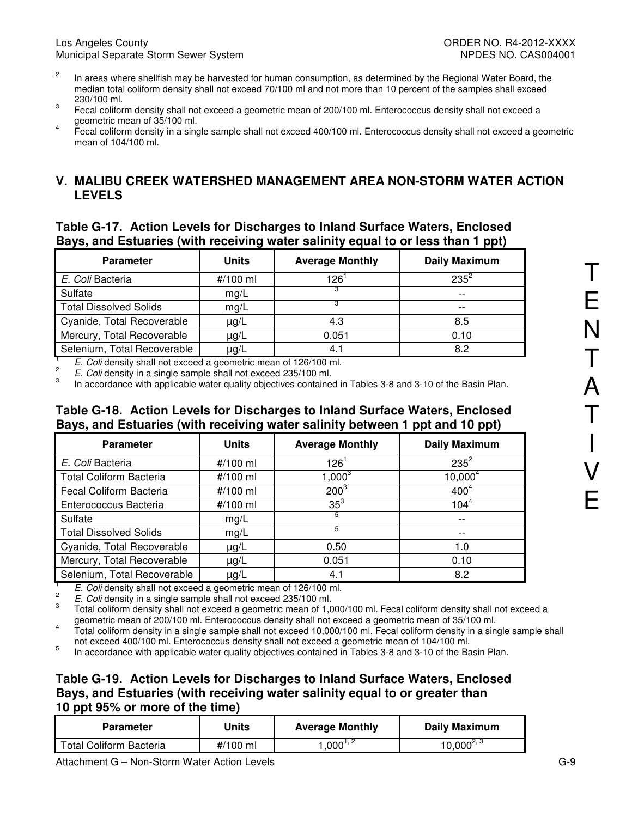- 2 In areas where shellfish may be harvested for human consumption, as determined by the Regional Water Board, the median total coliform density shall not exceed 70/100 ml and not more than 10 percent of the samples shall exceed 230/100 ml.
- 3 Fecal coliform density shall not exceed a geometric mean of 200/100 ml. Enterococcus density shall not exceed a geometric mean of 35/100 ml.
- 4 Fecal coliform density in a single sample shall not exceed 400/100 ml. Enterococcus density shall not exceed a geometric mean of 104/100 ml.

# **V. MALIBU CREEK WATERSHED MANAGEMENT AREA NON-STORM WATER ACTION LEVELS**

### **Table G-17. Action Levels for Discharges to Inland Surface Waters, Enclosed Bays, and Estuaries (with receiving water salinity equal to or less than 1 ppt)**

| <b>Parameter</b>              | <b>Units</b> | <b>Average Monthly</b> | <b>Daily Maximum</b> |
|-------------------------------|--------------|------------------------|----------------------|
| E. Coli Bacteria              | #/100 ml     | 126'                   | $235^2$              |
| Sulfate                       | mg/L         |                        | $- -$                |
| <b>Total Dissolved Solids</b> | mg/L         |                        | $- -$                |
| Cyanide, Total Recoverable    | $\mu$ g/L    | 4.3                    | 8.5                  |
| Mercury, Total Recoverable    | µg/L         | 0.051                  | 0.10                 |
| Selenium, Total Recoverable   | µg/L         | 4.1                    | 8.2                  |

1 E. Coli density shall not exceed a geometric mean of 126/100 ml. 2

E. Coli density in a single sample shall not exceed 235/100 ml.

3 In accordance with applicable water quality objectives contained in Tables 3-8 and 3-10 of the Basin Plan.

### **Table G-18. Action Levels for Discharges to Inland Surface Waters, Enclosed Bays, and Estuaries (with receiving water salinity between 1 ppt and 10 ppt)**

| <b>Parameter</b>               | <b>Units</b> | <b>Average Monthly</b> | <b>Daily Maximum</b> |
|--------------------------------|--------------|------------------------|----------------------|
| E. Coli Bacteria               | #/100 ml     | 126'                   | $235^2$              |
| <b>Total Coliform Bacteria</b> | #/100 ml     | $1,000^3$              | $10,000^4$           |
| Fecal Coliform Bacteria        | #/100 ml     | 200 <sup>3</sup>       | 400 <sup>4</sup>     |
| Enterococcus Bacteria          | #/100 ml     | $35^3$                 | $104^{4}$            |
| Sulfate                        | mg/L         | 5                      | $- -$                |
| <b>Total Dissolved Solids</b>  | mg/L         | 5                      | --                   |
| Cyanide, Total Recoverable     | $\mu$ g/L    | 0.50                   | 1.0                  |
| Mercury, Total Recoverable     | $\mu$ g/L    | 0.051                  | 0.10                 |
| Selenium, Total Recoverable    | $\mu$ g/L    | 4.1                    | 8.2                  |

1 E. Coli density shall not exceed a geometric mean of 126/100 ml.

 $\mathfrak{p}$ E. Coli density in a single sample shall not exceed 235/100 ml.

3 Total coliform density shall not exceed a geometric mean of 1,000/100 ml. Fecal coliform density shall not exceed a geometric mean of 200/100 ml. Enterococcus density shall not exceed a geometric mean of 35/100 ml.

4 Total coliform density in a single sample shall not exceed 10,000/100 ml. Fecal coliform density in a single sample shall not exceed 400/100 ml. Enterococcus density shall not exceed a geometric mean of 104/100 ml.

5 In accordance with applicable water quality objectives contained in Tables 3-8 and 3-10 of the Basin Plan.

## **Table G-19. Action Levels for Discharges to Inland Surface Waters, Enclosed Bays, and Estuaries (with receiving water salinity equal to or greater than 10 ppt 95% or more of the time)**

| <b>Parameter</b>               | Units    | <b>Average Monthly</b> | Daily Maximum  |
|--------------------------------|----------|------------------------|----------------|
| <b>Total Coliform Bacteria</b> | #/100 ml | $.000^{1.2}$           | $10,000^{2,3}$ |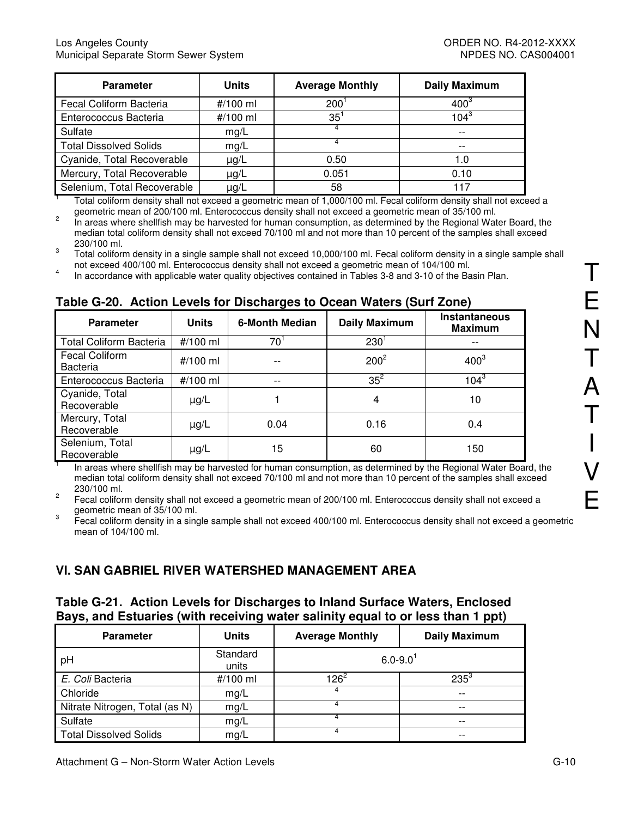| <b>Parameter</b>              | <b>Units</b> | <b>Average Monthly</b> | <b>Daily Maximum</b>                                                                                            |
|-------------------------------|--------------|------------------------|-----------------------------------------------------------------------------------------------------------------|
| Fecal Coliform Bacteria       | #/100 ml     | 200                    | $400^\circ$                                                                                                     |
| Enterococcus Bacteria         | #/100 ml     | 35                     | $104^{3}$                                                                                                       |
| Sulfate                       | mg/L         |                        | $ -$                                                                                                            |
| <b>Total Dissolved Solids</b> | mg/L         |                        | $ -$                                                                                                            |
| Cyanide, Total Recoverable    | $\mu$ g/L    | 0.50                   | 1.0                                                                                                             |
| Mercury, Total Recoverable    | $\mu$ g/L    | 0.051                  | 0.10                                                                                                            |
| Selenium, Total Recoverable   | $\mu$ g/L    | 58                     | 117                                                                                                             |
|                               |              |                        | Total caliform depaity aboll not overand a geometric mean of 1,000/100 mL Essel caliform depaity aboll not over |

 Total coliform density shall not exceed a geometric mean of 1,000/100 ml. Fecal coliform density shall not exceed a geometric mean of 200/100 ml. Enterococcus density shall not exceed a geometric mean of 35/100 ml.

2 In areas where shellfish may be harvested for human consumption, as determined by the Regional Water Board, the median total coliform density shall not exceed 70/100 ml and not more than 10 percent of the samples shall exceed 230/100 ml.

3 Total coliform density in a single sample shall not exceed 10,000/100 ml. Fecal coliform density in a single sample shall not exceed 400/100 ml. Enterococcus density shall not exceed a geometric mean of 104/100 ml.

4 In accordance with applicable water quality objectives contained in Tables 3-8 and 3-10 of the Basin Plan.

## **Table G-20. Action Levels for Discharges to Ocean Waters (Surf Zone)**

| <b>Parameter</b>                  | <b>Units</b> | 6-Month Median | <b>Daily Maximum</b> | <b>Instantaneous</b><br><b>Maximum</b> |
|-----------------------------------|--------------|----------------|----------------------|----------------------------------------|
| <b>Total Coliform Bacteria</b>    | #/100 ml     | 70             | 230                  |                                        |
| Fecal Coliform<br><b>Bacteria</b> | #/100 ml     |                | $200^2$              | $400^3$                                |
| Enterococcus Bacteria             | #/100 ml     |                | $35^2$               | $104^{3}$                              |
| Cyanide, Total<br>Recoverable     | $\mu$ g/L    |                | 4                    | 10                                     |
| Mercury, Total<br>Recoverable     | $\mu$ g/L    | 0.04           | 0.16                 | 0.4                                    |
| Selenium, Total<br>Recoverable    | $\mu$ g/L    | 15             | 60                   | 150                                    |

 In areas where shellfish may be harvested for human consumption, as determined by the Regional Water Board, the median total coliform density shall not exceed 70/100 ml and not more than 10 percent of the samples shall exceed 230/100 ml.

2 Fecal coliform density shall not exceed a geometric mean of 200/100 ml. Enterococcus density shall not exceed a geometric mean of 35/100 ml.

3 Fecal coliform density in a single sample shall not exceed 400/100 ml. Enterococcus density shall not exceed a geometric mean of 104/100 ml.

# **VI. SAN GABRIEL RIVER WATERSHED MANAGEMENT AREA**

#### **Table G-21. Action Levels for Discharges to Inland Surface Waters, Enclosed Bays, and Estuaries (with receiving water salinity equal to or less than 1 ppt)**

| <b>Parameter</b>               | <b>Units</b>      | <b>Average Monthly</b>   | <b>Daily Maximum</b> |
|--------------------------------|-------------------|--------------------------|----------------------|
| pH                             | Standard<br>units | $6.0 - 9.0$ <sup>1</sup> |                      |
| E. Coli Bacteria               | #/100 ml          | $126^2$                  | $235^{3}$            |
| Chloride                       | mg/L              |                          | $ -$                 |
| Nitrate Nitrogen, Total (as N) | mg/L              |                          | $- -$                |
| Sulfate                        | mg/L              |                          | $- -$                |
| <b>Total Dissolved Solids</b>  | mg/L              |                          | $- -$                |

T

1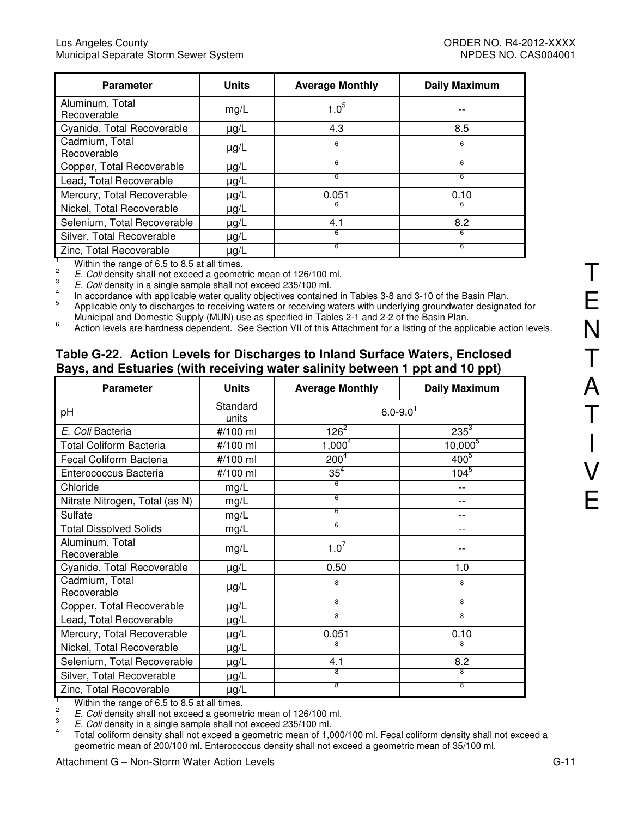| <b>Parameter</b>                                | <b>Units</b> | <b>Average Monthly</b> | <b>Daily Maximum</b> |
|-------------------------------------------------|--------------|------------------------|----------------------|
| Aluminum, Total<br>Recoverable                  | mg/L         | $1.0^{5}$              |                      |
| Cyanide, Total Recoverable                      | $\mu$ g/L    | 4.3                    | 8.5                  |
| Cadmium, Total<br>Recoverable                   | $\mu$ g/L    | 6                      | 6                    |
| Copper, Total Recoverable                       | $\mu$ g/L    | 6                      | 6                    |
| Lead, Total Recoverable                         | $\mu$ g/L    | 6                      | 6                    |
| Mercury, Total Recoverable                      | $\mu$ g/L    | 0.051                  | 0.10                 |
| Nickel, Total Recoverable                       | $\mu$ g/L    | 6                      | 6                    |
| Selenium, Total Recoverable                     | $\mu$ g/L    | 4.1                    | 8.2                  |
| Silver, Total Recoverable                       | $\mu$ g/L    | 6                      | 6                    |
| Zinc, Total Recoverable                         | $\mu$ g/L    | 6                      | 6                    |
| Within the repas of $C E$ to $D E$ at all times |              |                        |                      |

Within the range of 6.5 to 8.5 at all times.

2 E. Coli density shall not exceed a geometric mean of 126/100 ml. 3

E. Coli density in a single sample shall not exceed 235/100 ml. 4

 In accordance with applicable water quality objectives contained in Tables 3-8 and 3-10 of the Basin Plan. 5

 Applicable only to discharges to receiving waters or receiving waters with underlying groundwater designated for Municipal and Domestic Supply (MUN) use as specified in Tables 2-1 and 2-2 of the Basin Plan.

6 Action levels are hardness dependent. See Section VII of this Attachment for a listing of the applicable action levels.

# **Table G-22. Action Levels for Discharges to Inland Surface Waters, Enclosed Bays, and Estuaries (with receiving water salinity between 1 ppt and 10 ppt)**

| <b>Parameter</b>               | <b>Units</b>      | <b>Average Monthly</b>   | <b>Daily Maximum</b> |  |  |
|--------------------------------|-------------------|--------------------------|----------------------|--|--|
| рH                             | Standard<br>units | $6.0 - 9.0$ <sup>1</sup> |                      |  |  |
| E. Coli Bacteria               | #/100 ml          | $126^{\overline{2}}$     | $235^{3}$            |  |  |
| <b>Total Coliform Bacteria</b> | #/100 ml          | $1,000^4$                | $10,000^{5}$         |  |  |
| Fecal Coliform Bacteria        | #/100 ml          | $200^{4}$                | $400^{5}$            |  |  |
| Enterococcus Bacteria          | #/100 ml          | 35 <sup>4</sup>          | $104^{5}$            |  |  |
| Chloride                       | mg/L              | 6                        | --                   |  |  |
| Nitrate Nitrogen, Total (as N) | mg/L              | 6                        | $-$                  |  |  |
| Sulfate                        | mg/L              | 6                        | --                   |  |  |
| <b>Total Dissolved Solids</b>  | mg/L              | 6                        |                      |  |  |
| Aluminum, Total<br>Recoverable | mg/L              | $1.0^7$                  |                      |  |  |
| Cyanide, Total Recoverable     | µg/L              | 0.50                     | 1.0                  |  |  |
| Cadmium, Total<br>Recoverable  | $\mu$ g/L         | 8                        | 8                    |  |  |
| Copper, Total Recoverable      | $\mu$ g/L         | 8                        | 8                    |  |  |
| Lead, Total Recoverable        | µg/L              | 8                        | 8                    |  |  |
| Mercury, Total Recoverable     | µg/L              | 0.051                    | 0.10                 |  |  |
| Nickel, Total Recoverable      | μg/L              | 8                        | 8                    |  |  |
| Selenium, Total Recoverable    | μg/L              | 4.1                      | 8.2                  |  |  |
| Silver, Total Recoverable      | μg/L              | 8                        | 8                    |  |  |
| Zinc, Total Recoverable        | $\mu$ g/L         | $\overline{8}$           | 8                    |  |  |

1 Within the range of 6.5 to 8.5 at all times.

2 E. Coli density shall not exceed a geometric mean of 126/100 ml.

3 E. Coli density in a single sample shall not exceed 235/100 ml.

4 Total coliform density shall not exceed a geometric mean of 1,000/100 ml. Fecal coliform density shall not exceed a geometric mean of 200/100 ml. Enterococcus density shall not exceed a geometric mean of 35/100 ml.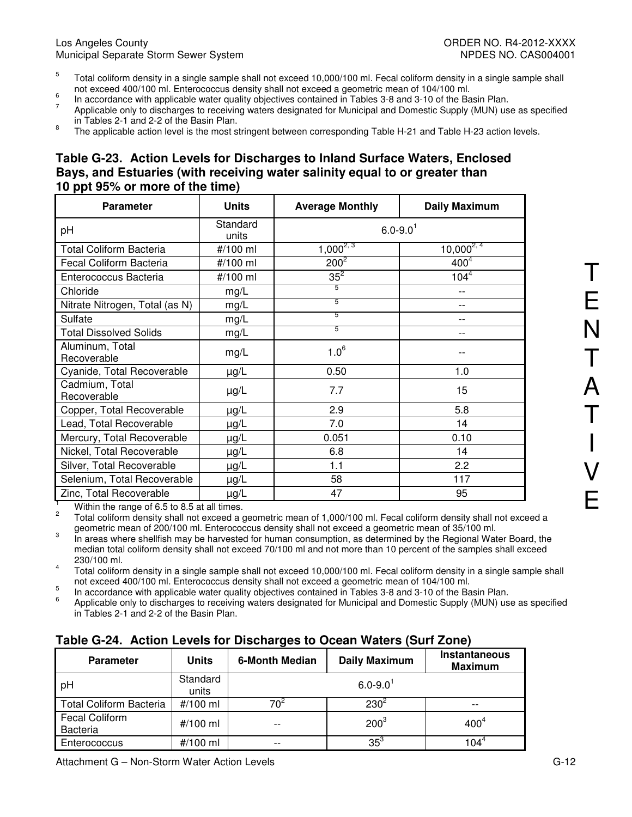- 5 Total coliform density in a single sample shall not exceed 10,000/100 ml. Fecal coliform density in a single sample shall not exceed 400/100 ml. Enterococcus density shall not exceed a geometric mean of 104/100 ml.
- 6 In accordance with applicable water quality objectives contained in Tables 3-8 and 3-10 of the Basin Plan.
- 7 Applicable only to discharges to receiving waters designated for Municipal and Domestic Supply (MUN) use as specified in Tables 2-1 and 2-2 of the Basin Plan.
- 8 The applicable action level is the most stringent between corresponding Table H-21 and Table H-23 action levels.

#### **Table G-23. Action Levels for Discharges to Inland Surface Waters, Enclosed Bays, and Estuaries (with receiving water salinity equal to or greater than 10 ppt 95% or more of the time)**

| <b>Parameter</b>                                | <b>Units</b>      | <b>Average Monthly</b>   | <b>Daily Maximum</b> |
|-------------------------------------------------|-------------------|--------------------------|----------------------|
| pH                                              | Standard<br>units | $6.0 - 9.0$ <sup>1</sup> |                      |
| <b>Total Coliform Bacteria</b>                  | #/100 ml          | $1,000^{2,3}$            | $10,000^{2,4}$       |
| Fecal Coliform Bacteria                         | #/100 ml          | $200^2$                  | 400 <sup>4</sup>     |
| Enterococcus Bacteria                           | #/100 ml          | $35^2$                   | $104^{4}$            |
| Chloride                                        | mg/L              | 5                        |                      |
| Nitrate Nitrogen, Total (as N)                  | mg/L              | 5                        |                      |
| Sulfate                                         | mg/L              | 5                        |                      |
| <b>Total Dissolved Solids</b>                   | mg/L              | 5                        |                      |
| Aluminum, Total<br>Recoverable                  | mg/L              | $1.0^6$                  |                      |
| Cyanide, Total Recoverable                      | µg/L              | 0.50                     | 1.0                  |
| Cadmium, Total<br>Recoverable                   | µg/L              | 7.7                      | 15                   |
| Copper, Total Recoverable                       | $\mu g/L$         | 2.9                      | 5.8                  |
| Lead, Total Recoverable                         | µg/L              | 7.0                      | 14                   |
| Mercury, Total Recoverable                      | µg/L              | 0.051                    | 0.10                 |
| Nickel, Total Recoverable                       | µg/L              | 6.8                      | 14                   |
| Silver, Total Recoverable                       | $\mu$ g/L         | 1.1                      | 2.2                  |
| Selenium, Total Recoverable                     | $\mu$ g/L         | 58                       | 117                  |
| Zinc, Total Recoverable                         | $\mu$ g/L         | 47                       | 95                   |
| Within the repas of $C E$ to $D E$ of all times |                   |                          |                      |

Within the range of 6.5 to 8.5 at all times.

2 Total coliform density shall not exceed a geometric mean of 1,000/100 ml. Fecal coliform density shall not exceed a geometric mean of 200/100 ml. Enterococcus density shall not exceed a geometric mean of 35/100 ml.

3 In areas where shellfish may be harvested for human consumption, as determined by the Regional Water Board, the median total coliform density shall not exceed 70/100 ml and not more than 10 percent of the samples shall exceed 230/100 ml.

4 Total coliform density in a single sample shall not exceed 10,000/100 ml. Fecal coliform density in a single sample shall not exceed 400/100 ml. Enterococcus density shall not exceed a geometric mean of 104/100 ml.

5 In accordance with applicable water quality objectives contained in Tables 3-8 and 3-10 of the Basin Plan.

6 Applicable only to discharges to receiving waters designated for Municipal and Domestic Supply (MUN) use as specified in Tables 2-1 and 2-2 of the Basin Plan.

# **Table G-24. Action Levels for Discharges to Ocean Waters (Surf Zone)**

| <b>Parameter</b>                         | <b>Units</b>      | <b>Daily Maximum</b><br>6-Month Median |                  | Instantaneous<br><b>Maximum</b> |  |  |  |
|------------------------------------------|-------------------|----------------------------------------|------------------|---------------------------------|--|--|--|
| рH                                       | Standard<br>units | $6.0 - 9.0$                            |                  |                                 |  |  |  |
| <b>Total Coliform Bacteria</b>           | #/100 ml          | 70٬                                    | $230^2$          |                                 |  |  |  |
| <b>Fecal Coliform</b><br><b>Bacteria</b> | #/100 ml          | $ -$                                   | 400 <sup>4</sup> |                                 |  |  |  |
| Enterococcus                             | #/100 ml          | $ -$                                   | $35^3$           | 1 በ4΄                           |  |  |  |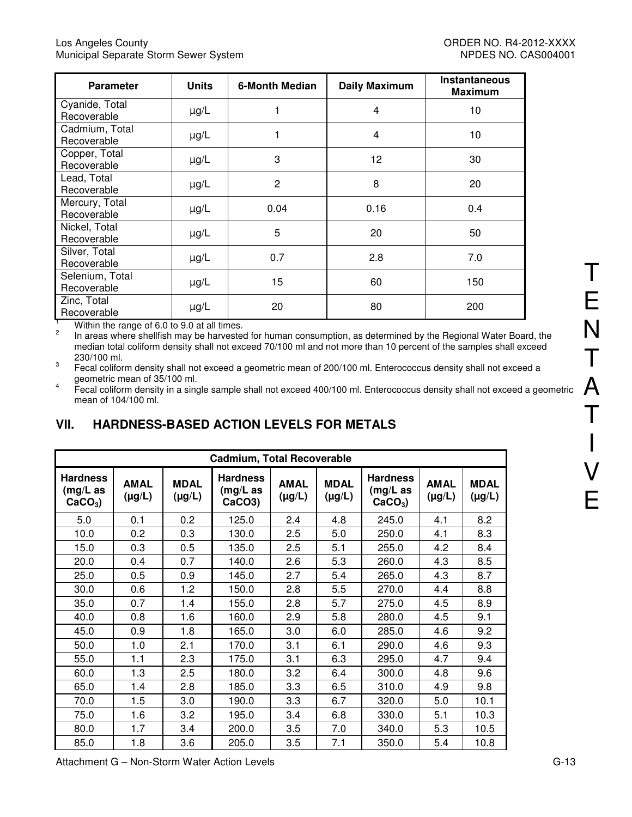| <b>Parameter</b>                             | <b>Units</b> | 6-Month Median | <b>Daily Maximum</b> | <b>Instantaneous</b><br><b>Maximum</b> |
|----------------------------------------------|--------------|----------------|----------------------|----------------------------------------|
| Cyanide, Total<br>Recoverable                | $\mu$ g/L    |                | 4                    | 10                                     |
| Cadmium, Total<br>Recoverable                | $\mu g/L$    |                | 4                    | 10                                     |
| Copper, Total<br>Recoverable                 | $\mu g/L$    | 3              | 12 <sub>2</sub>      | 30                                     |
| Lead, Total<br>Recoverable                   | $\mu$ g/L    | $\overline{2}$ | 8                    | 20                                     |
| Mercury, Total<br>Recoverable                | $\mu$ g/L    | 0.04           | 0.16                 | 0.4                                    |
| Nickel, Total<br>Recoverable                 | $\mu g/L$    | 5              | 20                   | 50                                     |
| Silver, Total<br>Recoverable                 | $\mu g/L$    | 0.7            | 2.8                  | 7.0                                    |
| Selenium, Total<br>Recoverable               | $\mu$ g/L    | 15             | 60                   | 150                                    |
| Zinc, Total<br>Recoverable<br>1.4.11.1.1.1.1 | $\mu$ g/L    | 20             | 80                   | 200                                    |

Within the range of 6.0 to 9.0 at all times.

2 In areas where shellfish may be harvested for human consumption, as determined by the Regional Water Board, the median total coliform density shall not exceed 70/100 ml and not more than 10 percent of the samples shall exceed 230/100 ml.

3 Fecal coliform density shall not exceed a geometric mean of 200/100 ml. Enterococcus density shall not exceed a geometric mean of 35/100 ml.

4 Fecal coliform density in a single sample shall not exceed 400/100 ml. Enterococcus density shall not exceed a geometric mean of 104/100 ml.

# **VII. HARDNESS-BASED ACTION LEVELS FOR METALS**

| <b>Cadmium, Total Recoverable</b>        |                            |                            |                                                       |                            |                            |                                          |                            |                            |  |
|------------------------------------------|----------------------------|----------------------------|-------------------------------------------------------|----------------------------|----------------------------|------------------------------------------|----------------------------|----------------------------|--|
| <b>Hardness</b><br>(mg/L as<br>$CaCO3$ ) | <b>AMAL</b><br>$(\mu g/L)$ | <b>MDAL</b><br>$(\mu g/L)$ | <b>Hardness</b><br>$(mg/L)$ as<br>CaCO <sub>3</sub> ) | <b>AMAL</b><br>$(\mu g/L)$ | <b>MDAL</b><br>$(\mu g/L)$ | <b>Hardness</b><br>(mg/L as<br>$CaCO3$ ) | <b>AMAL</b><br>$(\mu g/L)$ | <b>MDAL</b><br>$(\mu g/L)$ |  |
| 5.0                                      | 0.1                        | 0.2                        | 125.0                                                 | 2.4                        | 4.8                        | 245.0                                    | 4.1                        | 8.2                        |  |
| 10.0                                     | 0.2                        | 0.3                        | 130.0                                                 | 2.5                        | 5.0                        | 250.0                                    | 4.1                        | 8.3                        |  |
| 15.0                                     | 0.3                        | 0.5                        | 135.0                                                 | 2.5                        | 5.1                        | 255.0                                    | 4.2                        | 8.4                        |  |
| 20.0                                     | 0.4                        | 0.7                        | 140.0                                                 | 2.6                        | 5.3                        | 260.0                                    | 4.3                        | 8.5                        |  |
| 25.0                                     | 0.5                        | 0.9                        | 145.0                                                 | 2.7                        | 5.4                        | 265.0                                    | 4.3                        | 8.7                        |  |
| 30.0                                     | 0.6                        | 1.2                        | 150.0                                                 | 2.8                        | 5.5                        | 270.0                                    | 4.4                        | 8.8                        |  |
| 35.0                                     | 0.7                        | 1.4                        | 155.0                                                 | 2.8                        | 5.7                        | 275.0                                    | 4.5                        | 8.9                        |  |
| 40.0                                     | 0.8                        | 1.6                        | 160.0                                                 | 2.9                        | 5.8                        | 280.0                                    | 4.5                        | 9.1                        |  |
| 45.0                                     | 0.9                        | 1.8                        | 165.0                                                 | 3.0                        | 6.0                        | 285.0                                    | 4.6                        | 9.2                        |  |
| 50.0                                     | 1.0                        | 2.1                        | 170.0                                                 | 3.1                        | 6.1                        | 290.0                                    | 4.6                        | 9.3                        |  |
| 55.0                                     | 1.1                        | 2.3                        | 175.0                                                 | 3.1                        | 6.3                        | 295.0                                    | 4.7                        | 9.4                        |  |
| 60.0                                     | 1.3                        | 2.5                        | 180.0                                                 | 3.2                        | 6.4                        | 300.0                                    | 4.8                        | 9.6                        |  |
| 65.0                                     | 1.4                        | 2.8                        | 185.0                                                 | 3.3                        | 6.5                        | 310.0                                    | 4.9                        | 9.8                        |  |
| 70.0                                     | 1.5                        | 3.0                        | 190.0                                                 | 3.3                        | 6.7                        | 320.0                                    | 5.0                        | 10.1                       |  |
| 75.0                                     | 1.6                        | 3.2                        | 195.0                                                 | 3.4                        | 6.8                        | 330.0                                    | 5.1                        | 10.3                       |  |
| 80.0                                     | 1.7                        | 3.4                        | 200.0                                                 | 3.5                        | 7.0                        | 340.0                                    | 5.3                        | 10.5                       |  |
| 85.0                                     | 1.8                        | 3.6                        | 205.0                                                 | 3.5                        | 7.1                        | 350.0                                    | 5.4                        | 10.8                       |  |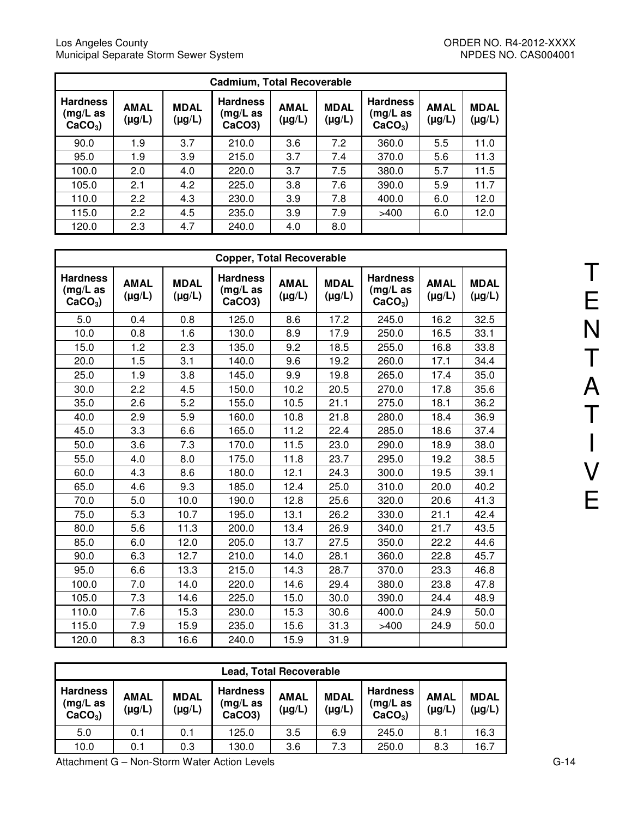| <b>Cadmium, Total Recoverable</b>           |                            |                            |                                                    |                            |                            |                                          |                       |                       |  |  |
|---------------------------------------------|----------------------------|----------------------------|----------------------------------------------------|----------------------------|----------------------------|------------------------------------------|-----------------------|-----------------------|--|--|
| <b>Hardness</b><br>$(mg/L)$ as<br>$CaCO3$ ) | <b>AMAL</b><br>$(\mu g/L)$ | <b>MDAL</b><br>$(\mu g/L)$ | <b>Hardness</b><br>(mg/L as<br>CaCO <sub>3</sub> ) | <b>AMAL</b><br>$(\mu g/L)$ | <b>MDAL</b><br>$(\mu g/L)$ | <b>Hardness</b><br>(mg/L as<br>$CaCO3$ ) | <b>AMAL</b><br>(µg/L) | <b>MDAL</b><br>(µg/L) |  |  |
| 90.0                                        | 1.9                        | 3.7                        | 210.0                                              | 3.6                        | 7.2                        | 360.0                                    | 5.5                   | 11.0                  |  |  |
| 95.0                                        | 1.9                        | 3.9                        | 215.0                                              | 3.7                        | 7.4                        | 370.0                                    | 5.6                   | 11.3                  |  |  |
| 100.0                                       | 2.0                        | 4.0                        | 220.0                                              | 3.7                        | 7.5                        | 380.0                                    | 5.7                   | 11.5                  |  |  |
| 105.0                                       | 2.1                        | 4.2                        | 225.0                                              | 3.8                        | 7.6                        | 390.0                                    | 5.9                   | 11.7                  |  |  |
| 110.0                                       | 2.2                        | 4.3                        | 230.0                                              | 3.9                        | 7.8                        | 400.0                                    | 6.0                   | 12.0                  |  |  |
| 115.0                                       | 2.2                        | 4.5                        | 235.0                                              | 3.9                        | 7.9                        | >400                                     | 6.0                   | 12.0                  |  |  |
| 120.0                                       | 2.3                        | 4.7                        | 240.0                                              | 4.0                        | 8.0                        |                                          |                       |                       |  |  |

|                                             |                            |                            | <b>Copper, Total Recoverable</b>                      |                            |                            |                                             |                            |                            |
|---------------------------------------------|----------------------------|----------------------------|-------------------------------------------------------|----------------------------|----------------------------|---------------------------------------------|----------------------------|----------------------------|
| <b>Hardness</b><br>$(mg/L)$ as<br>$CaCO3$ ) | <b>AMAL</b><br>$(\mu g/L)$ | <b>MDAL</b><br>$(\mu g/L)$ | <b>Hardness</b><br>$(mg/L)$ as<br>CaCO <sub>3</sub> ) | <b>AMAL</b><br>$(\mu g/L)$ | <b>MDAL</b><br>$(\mu g/L)$ | <b>Hardness</b><br>$(mg/L)$ as<br>$CaCO3$ ) | <b>AMAL</b><br>$(\mu g/L)$ | <b>MDAL</b><br>$(\mu g/L)$ |
| 5.0                                         | 0.4                        | 0.8                        | 125.0                                                 | 8.6                        | 17.2                       | 245.0                                       | 16.2                       | 32.5                       |
| 10.0                                        | 0.8                        | 1.6                        | 130.0                                                 | 8.9                        | 17.9                       | 250.0                                       | 16.5                       | 33.1                       |
| 15.0                                        | 1.2                        | 2.3                        | 135.0                                                 | 9.2                        | 18.5                       | 255.0                                       | 16.8                       | 33.8                       |
| 20.0                                        | 1.5                        | 3.1                        | 140.0                                                 | 9.6                        | 19.2                       | 260.0                                       | 17.1                       | 34.4                       |
| 25.0                                        | 1.9                        | 3.8                        | 145.0                                                 | 9.9                        | 19.8                       | 265.0                                       | 17.4                       | 35.0                       |
| 30.0                                        | 2.2                        | 4.5                        | 150.0                                                 | 10.2                       | 20.5                       | 270.0                                       | 17.8                       | 35.6                       |
| 35.0                                        | 2.6                        | 5.2                        | 155.0                                                 | 10.5                       | 21.1                       | 275.0                                       | 18.1                       | 36.2                       |
| 40.0                                        | 2.9                        | 5.9                        | 160.0                                                 | 10.8                       | 21.8                       | 280.0                                       | 18.4                       | 36.9                       |
| 45.0                                        | 3.3                        | 6.6                        | 165.0                                                 | 11.2                       | 22.4                       | 285.0                                       | 18.6                       | 37.4                       |
| 50.0                                        | 3.6                        | 7.3                        | 170.0                                                 | 11.5                       | 23.0                       | 290.0                                       | 18.9                       | 38.0                       |
| 55.0                                        | 4.0                        | 8.0                        | 175.0                                                 | 11.8                       | 23.7                       | 295.0                                       | 19.2                       | 38.5                       |
| 60.0                                        | 4.3                        | 8.6                        | 180.0                                                 | 12.1                       | 24.3                       | 300.0                                       | 19.5                       | 39.1                       |
| 65.0                                        | 4.6                        | 9.3                        | 185.0                                                 | 12.4                       | 25.0                       | 310.0                                       | 20.0                       | 40.2                       |
| 70.0                                        | 5.0                        | 10.0                       | 190.0                                                 | 12.8                       | 25.6                       | 320.0                                       | 20.6                       | 41.3                       |
| 75.0                                        | 5.3                        | 10.7                       | 195.0                                                 | 13.1                       | 26.2                       | 330.0                                       | 21.1                       | 42.4                       |
| 80.0                                        | 5.6                        | 11.3                       | 200.0                                                 | 13.4                       | 26.9                       | 340.0                                       | 21.7                       | 43.5                       |
| 85.0                                        | 6.0                        | 12.0                       | 205.0                                                 | 13.7                       | 27.5                       | 350.0                                       | 22.2                       | 44.6                       |
| 90.0                                        | 6.3                        | 12.7                       | 210.0                                                 | 14.0                       | 28.1                       | 360.0                                       | 22.8                       | 45.7                       |
| 95.0                                        | 6.6                        | 13.3                       | 215.0                                                 | 14.3                       | 28.7                       | 370.0                                       | 23.3                       | 46.8                       |
| 100.0                                       | 7.0                        | 14.0                       | 220.0                                                 | 14.6                       | 29.4                       | 380.0                                       | 23.8                       | 47.8                       |
| 105.0                                       | 7.3                        | 14.6                       | 225.0                                                 | 15.0                       | 30.0                       | 390.0                                       | 24.4                       | 48.9                       |
| 110.0                                       | 7.6                        | 15.3                       | 230.0                                                 | 15.3                       | 30.6                       | 400.0                                       | 24.9                       | 50.0                       |
| 115.0                                       | 7.9                        | 15.9                       | 235.0                                                 | 15.6                       | 31.3                       | >400                                        | 24.9                       | 50.0                       |
| 120.0                                       | 8.3                        | 16.6                       | 240.0                                                 | 15.9                       | 31.9                       |                                             |                            |                            |

| <b>Lead, Total Recoverable</b>              |                            |                            |                                                       |                            |                       |                                             |                            |                            |
|---------------------------------------------|----------------------------|----------------------------|-------------------------------------------------------|----------------------------|-----------------------|---------------------------------------------|----------------------------|----------------------------|
| <b>Hardness</b><br>$(mg/L)$ as<br>$CaCO3$ ) | <b>AMAL</b><br>$(\mu g/L)$ | <b>MDAL</b><br>$(\mu g/L)$ | <b>Hardness</b><br>$(mg/L)$ as<br>CaCO <sub>3</sub> ) | <b>AMAL</b><br>$(\mu g/L)$ | <b>MDAL</b><br>(µg/L) | <b>Hardness</b><br>$(mg/L)$ as<br>$CaCO3$ ) | <b>AMAL</b><br>$(\mu g/L)$ | <b>MDAL</b><br>$(\mu g/L)$ |
| 5.0                                         | 0.1                        | 0.1                        | 125.0                                                 | 3.5                        | 6.9                   | 245.0                                       | 8.1                        | 16.3                       |
| 10.0                                        | 0.1                        | 0.3                        | 130.0                                                 | 3.6                        | 7.3                   | 250.0                                       | 8.3                        | 16.7                       |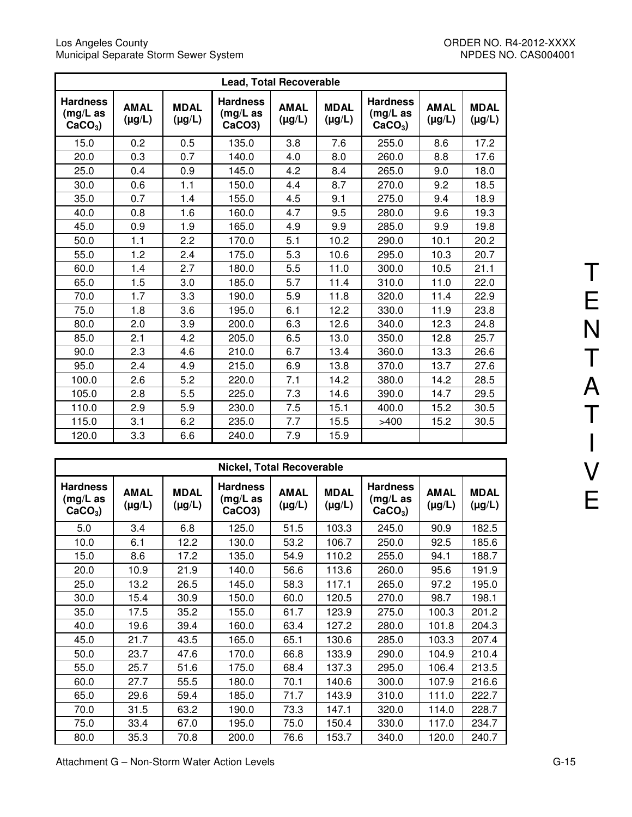#### Los Angeles County ORDER NO. R4-2012-XXXX Municipal Separate Storm Sewer System NPDES NO. CAS004001

|                                             |                            |                            | <b>Lead, Total Recoverable</b>                        |                            |                            |                                             |                            |                            |
|---------------------------------------------|----------------------------|----------------------------|-------------------------------------------------------|----------------------------|----------------------------|---------------------------------------------|----------------------------|----------------------------|
| <b>Hardness</b><br>$(mg/L)$ as<br>$CaCO3$ ) | <b>AMAL</b><br>$(\mu g/L)$ | <b>MDAL</b><br>$(\mu g/L)$ | <b>Hardness</b><br>$(mg/L)$ as<br>CaCO <sub>3</sub> ) | <b>AMAL</b><br>$(\mu g/L)$ | <b>MDAL</b><br>$(\mu g/L)$ | <b>Hardness</b><br>$(mg/L)$ as<br>$CaCO3$ ) | <b>AMAL</b><br>$(\mu g/L)$ | <b>MDAL</b><br>$(\mu g/L)$ |
| 15.0                                        | 0.2                        | 0.5                        | 135.0                                                 | 3.8                        | 7.6                        | 255.0                                       | 8.6                        | 17.2                       |
| 20.0                                        | 0.3                        | 0.7                        | 140.0                                                 | 4.0                        | 8.0                        | 260.0                                       | 8.8                        | 17.6                       |
| 25.0                                        | 0.4                        | 0.9                        | 145.0                                                 | 4.2                        | 8.4                        | 265.0                                       | 9.0                        | 18.0                       |
| 30.0                                        | 0.6                        | 1.1                        | 150.0                                                 | 4.4                        | 8.7                        | 270.0                                       | 9.2                        | 18.5                       |
| 35.0                                        | 0.7                        | 1.4                        | 155.0                                                 | 4.5                        | 9.1                        | 275.0                                       | 9.4                        | 18.9                       |
| 40.0                                        | 0.8                        | 1.6                        | 160.0                                                 | 4.7                        | 9.5                        | 280.0                                       | 9.6                        | 19.3                       |
| 45.0                                        | 0.9                        | 1.9                        | 165.0                                                 | 4.9                        | 9.9                        | 285.0                                       | 9.9                        | 19.8                       |
| 50.0                                        | 1.1                        | 2.2                        | 170.0                                                 | 5.1                        | 10.2                       | 290.0                                       | 10.1                       | 20.2                       |
| 55.0                                        | 1.2                        | 2.4                        | 175.0                                                 | 5.3                        | 10.6                       | 295.0                                       | 10.3                       | 20.7                       |
| 60.0                                        | 1.4                        | 2.7                        | 180.0                                                 | 5.5                        | 11.0                       | 300.0                                       | 10.5                       | 21.1                       |
| 65.0                                        | 1.5                        | 3.0                        | 185.0                                                 | 5.7                        | 11.4                       | 310.0                                       | 11.0                       | 22.0                       |
| 70.0                                        | 1.7                        | 3.3                        | 190.0                                                 | 5.9                        | 11.8                       | 320.0                                       | 11.4                       | 22.9                       |
| 75.0                                        | 1.8                        | 3.6                        | 195.0                                                 | 6.1                        | 12.2                       | 330.0                                       | 11.9                       | 23.8                       |
| 80.0                                        | 2.0                        | 3.9                        | 200.0                                                 | 6.3                        | 12.6                       | 340.0                                       | 12.3                       | 24.8                       |
| 85.0                                        | 2.1                        | 4.2                        | 205.0                                                 | 6.5                        | 13.0                       | 350.0                                       | 12.8                       | 25.7                       |
| 90.0                                        | 2.3                        | 4.6                        | 210.0                                                 | 6.7                        | 13.4                       | 360.0                                       | 13.3                       | 26.6                       |
| 95.0                                        | 2.4                        | 4.9                        | 215.0                                                 | 6.9                        | 13.8                       | 370.0                                       | 13.7                       | 27.6                       |
| 100.0                                       | 2.6                        | 5.2                        | 220.0                                                 | 7.1                        | 14.2                       | 380.0                                       | 14.2                       | 28.5                       |
| 105.0                                       | 2.8                        | 5.5                        | 225.0                                                 | 7.3                        | 14.6                       | 390.0                                       | 14.7                       | 29.5                       |
| 110.0                                       | 2.9                        | 5.9                        | 230.0                                                 | 7.5                        | 15.1                       | 400.0                                       | 15.2                       | 30.5                       |
| 115.0                                       | 3.1                        | 6.2                        | 235.0                                                 | 7.7                        | 15.5                       | >400                                        | 15.2                       | 30.5                       |
| 120.0                                       | 3.3                        | 6.6                        | 240.0                                                 | 7.9                        | 15.9                       |                                             |                            |                            |

| <b>Nickel, Total Recoverable</b>         |                            |                            |                                                       |                            |                            |                                          |                            |                            |
|------------------------------------------|----------------------------|----------------------------|-------------------------------------------------------|----------------------------|----------------------------|------------------------------------------|----------------------------|----------------------------|
| <b>Hardness</b><br>(mg/L as<br>$CaCO3$ ) | <b>AMAL</b><br>$(\mu g/L)$ | <b>MDAL</b><br>$(\mu g/L)$ | <b>Hardness</b><br>$(mg/L)$ as<br>CaCO <sub>3</sub> ) | <b>AMAL</b><br>$(\mu g/L)$ | <b>MDAL</b><br>$(\mu g/L)$ | <b>Hardness</b><br>(mg/L as<br>$CaCO3$ ) | <b>AMAL</b><br>$(\mu g/L)$ | <b>MDAL</b><br>$(\mu g/L)$ |
| 5.0                                      | 3.4                        | 6.8                        | 125.0                                                 | 51.5                       | 103.3                      | 245.0                                    | 90.9                       | 182.5                      |
| 10.0                                     | 6.1                        | 12.2                       | 130.0                                                 | 53.2                       | 106.7                      | 250.0                                    | 92.5                       | 185.6                      |
| 15.0                                     | 8.6                        | 17.2                       | 135.0                                                 | 54.9                       | 110.2                      | 255.0                                    | 94.1                       | 188.7                      |
| 20.0                                     | 10.9                       | 21.9                       | 140.0                                                 | 56.6                       | 113.6                      | 260.0                                    | 95.6                       | 191.9                      |
| 25.0                                     | 13.2                       | 26.5                       | 145.0                                                 | 58.3                       | 117.1                      | 265.0                                    | 97.2                       | 195.0                      |
| 30.0                                     | 15.4                       | 30.9                       | 150.0                                                 | 60.0                       | 120.5                      | 270.0                                    | 98.7                       | 198.1                      |
| 35.0                                     | 17.5                       | 35.2                       | 155.0                                                 | 61.7                       | 123.9                      | 275.0                                    | 100.3                      | 201.2                      |
| 40.0                                     | 19.6                       | 39.4                       | 160.0                                                 | 63.4                       | 127.2                      | 280.0                                    | 101.8                      | 204.3                      |
| 45.0                                     | 21.7                       | 43.5                       | 165.0                                                 | 65.1                       | 130.6                      | 285.0                                    | 103.3                      | 207.4                      |
| 50.0                                     | 23.7                       | 47.6                       | 170.0                                                 | 66.8                       | 133.9                      | 290.0                                    | 104.9                      | 210.4                      |
| 55.0                                     | 25.7                       | 51.6                       | 175.0                                                 | 68.4                       | 137.3                      | 295.0                                    | 106.4                      | 213.5                      |
| 60.0                                     | 27.7                       | 55.5                       | 180.0                                                 | 70.1                       | 140.6                      | 300.0                                    | 107.9                      | 216.6                      |
| 65.0                                     | 29.6                       | 59.4                       | 185.0                                                 | 71.7                       | 143.9                      | 310.0                                    | 111.0                      | 222.7                      |
| 70.0                                     | 31.5                       | 63.2                       | 190.0                                                 | 73.3                       | 147.1                      | 320.0                                    | 114.0                      | 228.7                      |
| 75.0                                     | 33.4                       | 67.0                       | 195.0                                                 | 75.0                       | 150.4                      | 330.0                                    | 117.0                      | 234.7                      |
| 80.0                                     | 35.3                       | 70.8                       | 200.0                                                 | 76.6                       | 153.7                      | 340.0                                    | 120.0                      | 240.7                      |

T

E

N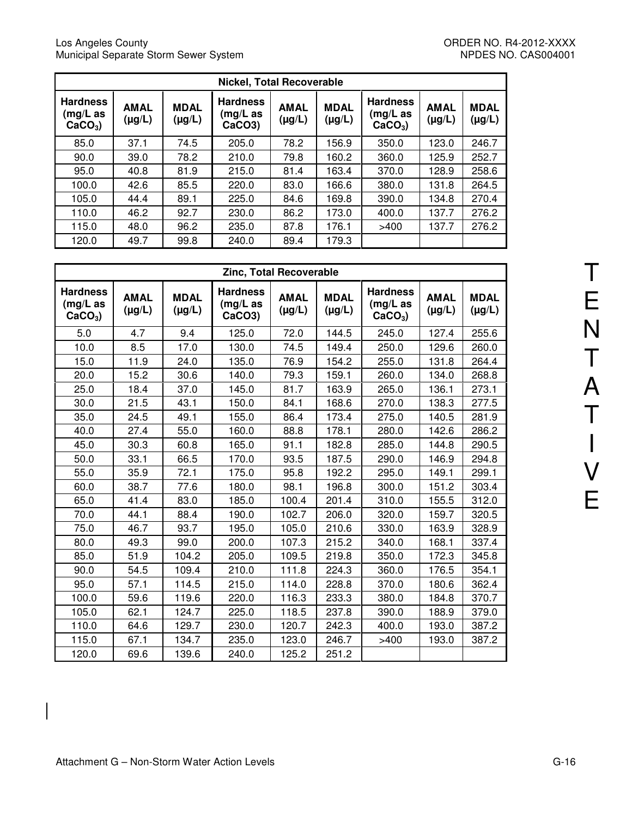| <b>Nickel, Total Recoverable</b>         |                            |                            |                                                    |                            |                            |                                             |                            |                            |  |
|------------------------------------------|----------------------------|----------------------------|----------------------------------------------------|----------------------------|----------------------------|---------------------------------------------|----------------------------|----------------------------|--|
| <b>Hardness</b><br>(mg/L as<br>$CaCO3$ ) | <b>AMAL</b><br>$(\mu g/L)$ | <b>MDAL</b><br>$(\mu g/L)$ | <b>Hardness</b><br>(mg/L as<br>CaCO <sub>3</sub> ) | <b>AMAL</b><br>$(\mu g/L)$ | <b>MDAL</b><br>$(\mu g/L)$ | <b>Hardness</b><br>$(mg/L)$ as<br>$CaCO3$ ) | <b>AMAL</b><br>$(\mu g/L)$ | <b>MDAL</b><br>$(\mu g/L)$ |  |
| 85.0                                     | 37.1                       | 74.5                       | 205.0                                              | 78.2                       | 156.9                      | 350.0                                       | 123.0                      | 246.7                      |  |
| 90.0                                     | 39.0                       | 78.2                       | 210.0                                              | 79.8                       | 160.2                      | 360.0                                       | 125.9                      | 252.7                      |  |
| 95.0                                     | 40.8                       | 81.9                       | 215.0                                              | 81.4                       | 163.4                      | 370.0                                       | 128.9                      | 258.6                      |  |
| 100.0                                    | 42.6                       | 85.5                       | 220.0                                              | 83.0                       | 166.6                      | 380.0                                       | 131.8                      | 264.5                      |  |
| 105.0                                    | 44.4                       | 89.1                       | 225.0                                              | 84.6                       | 169.8                      | 390.0                                       | 134.8                      | 270.4                      |  |
| 110.0                                    | 46.2                       | 92.7                       | 230.0                                              | 86.2                       | 173.0                      | 400.0                                       | 137.7                      | 276.2                      |  |
| 115.0                                    | 48.0                       | 96.2                       | 235.0                                              | 87.8                       | 176.1                      | >400                                        | 137.7                      | 276.2                      |  |
| 120.0                                    | 49.7                       | 99.8                       | 240.0                                              | 89.4                       | 179.3                      |                                             |                            |                            |  |

| <b>Zinc, Total Recoverable</b>              |                            |                            |                                          |                            |                            |                                          |                            |                            |  |
|---------------------------------------------|----------------------------|----------------------------|------------------------------------------|----------------------------|----------------------------|------------------------------------------|----------------------------|----------------------------|--|
| <b>Hardness</b><br>$(mg/L)$ as<br>$CaCO3$ ) | <b>AMAL</b><br>$(\mu g/L)$ | <b>MDAL</b><br>$(\mu g/L)$ | <b>Hardness</b><br>$(mg/L)$ as<br>CaCO3) | <b>AMAL</b><br>$(\mu g/L)$ | <b>MDAL</b><br>$(\mu g/L)$ | <b>Hardness</b><br>(mg/L as<br>$CaCO3$ ) | <b>AMAL</b><br>$(\mu g/L)$ | <b>MDAL</b><br>$(\mu g/L)$ |  |
| 5.0                                         | 4.7                        | 9.4                        | 125.0                                    | 72.0                       | 144.5                      | 245.0                                    | 127.4                      | 255.6                      |  |
| 10.0                                        | 8.5                        | 17.0                       | 130.0                                    | 74.5                       | 149.4                      | 250.0                                    | 129.6                      |                            |  |
| 15.0                                        | 11.9                       | 24.0                       | 135.0                                    | 76.9                       | 154.2                      | 255.0                                    | 131.8                      | 264.4                      |  |
| 20.0                                        | 15.2                       | 30.6                       | 140.0                                    | 79.3                       | 159.1                      | 260.0                                    | 134.0                      | 268.8                      |  |
| 25.0                                        | 18.4                       | 37.0                       | 145.0                                    | 81.7                       | 163.9                      | 265.0                                    | 136.1                      | 273.1                      |  |
| 30.0                                        | 21.5                       | 43.1                       | 150.0                                    | 84.1                       | 168.6                      | 270.0                                    | 138.3                      | 277.5                      |  |
| 35.0                                        | 24.5                       | 49.1                       | 155.0                                    | 86.4                       | 173.4                      | 275.0                                    | 140.5                      | 281.9                      |  |
| 40.0                                        | 27.4                       | 55.0                       | 160.0                                    | 88.8                       | 178.1                      | 280.0                                    | 142.6                      | 286.2                      |  |
| 45.0                                        | 30.3                       | 60.8                       | 165.0                                    | 91.1                       | 182.8                      | 285.0                                    | 144.8                      | 290.5                      |  |
| 50.0                                        | 33.1                       | 66.5                       | 170.0                                    | 93.5                       | 187.5                      | 290.0                                    | 146.9                      | 294.8                      |  |
| 55.0                                        | 35.9                       | 72.1                       | 175.0                                    | 95.8                       | 192.2                      | 295.0                                    | 149.1                      | 299.1                      |  |
| 60.0                                        | 38.7                       | 77.6                       | 180.0                                    | 98.1                       | 196.8                      | 300.0                                    | 151.2                      | 303.4                      |  |
| 65.0                                        | 41.4                       | 83.0                       | 185.0                                    | 100.4                      | 201.4                      | 310.0                                    | 155.5                      | 312.0                      |  |
| 70.0                                        | 44.1                       | 88.4                       | 190.0                                    | 102.7                      | 206.0                      | 320.0                                    | 159.7                      | 320.5                      |  |
| 75.0                                        | 46.7                       | 93.7                       | 195.0                                    | 105.0                      | 210.6                      | 330.0                                    | 163.9                      | 328.9                      |  |
| 80.0                                        | 49.3                       | 99.0                       | 200.0                                    | 107.3                      | 215.2                      | 340.0                                    | 168.1                      | 337.4                      |  |
| 85.0                                        | 51.9                       | 104.2                      | 205.0                                    | 109.5                      | 219.8                      | 350.0                                    | 172.3                      | 345.8                      |  |
| 90.0                                        | 54.5                       | 109.4                      | 210.0                                    | 111.8                      | 224.3                      | 360.0                                    | 176.5                      | 354.1                      |  |
| 95.0                                        | 57.1                       | 114.5                      | 215.0                                    | 114.0                      | 228.8                      | 370.0                                    | 180.6                      | 362.4                      |  |
| 100.0                                       | 59.6                       | 119.6                      | 220.0                                    | 116.3                      | 233.3                      | 380.0                                    | 184.8                      | 370.7                      |  |
| 105.0                                       | 62.1                       | 124.7                      | 225.0                                    | 118.5                      | 237.8                      | 390.0                                    | 188.9                      | 379.0                      |  |
| 110.0                                       | 64.6                       | 129.7                      | 230.0                                    | 120.7                      | 242.3                      | 400.0                                    | 193.0                      | 387.2                      |  |
| 115.0                                       | 67.1                       | 134.7                      | 235.0                                    | 123.0                      | 246.7                      | >400                                     | 193.0                      | 387.2                      |  |
| 120.0                                       | 69.6                       | 139.6                      | 240.0                                    | 125.2                      | 251.2                      |                                          |                            |                            |  |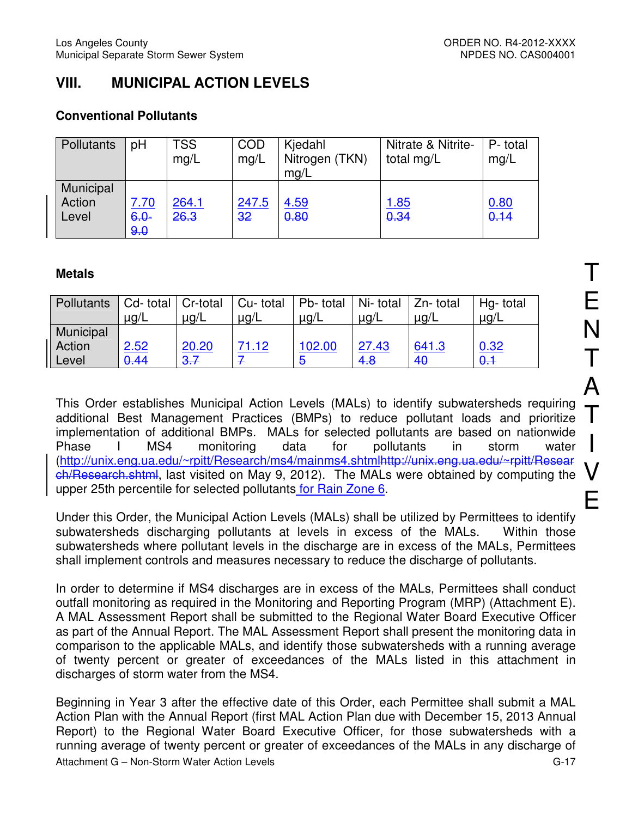# **VIII. MUNICIPAL ACTION LEVELS**

# **Conventional Pollutants**

| Pollutants                   | pH                     | <b>TSS</b><br>mg/L | <b>COD</b><br>mg/L | Kjedahl<br>Nitrogen (TKN)<br>mq/L | Nitrate & Nitrite-<br>total mg/L | P-total<br>mg/L |
|------------------------------|------------------------|--------------------|--------------------|-----------------------------------|----------------------------------|-----------------|
| Municipal<br>Action<br>Level | 7.70<br>$6.0 -$<br>9.0 | 264.1<br>26.3      | 247.5<br>32        | 4.59<br>0.80                      | <u> 1.85</u><br>0.34             | 0.80<br>0.14    |

# **Metals**

| Pollutants   Cd- total   Cr-total | $\mu$ g/L | $\mu$ g/L | Cu- total<br>$\mu$ g/L | Pb- total   Ni- total   Zn- total<br>$\mu$ g/L | $\mu$ g/L | $\mu$ g/L | Hg-total<br>$\mu$ g/L |
|-----------------------------------|-----------|-----------|------------------------|------------------------------------------------|-----------|-----------|-----------------------|
| Municipal                         |           |           |                        |                                                |           |           |                       |
| Action                            | 2.52      | 20.20     | 71.12                  | 102.00                                         | 27.43     | 641.3     | 0.32                  |
| Level                             | 0.44      | 3.7       |                        | Ð                                              | 4.8       | 40        | $\theta$ .1           |

This Order establishes Municipal Action Levels (MALs) to identify subwatersheds requiring additional Best Management Practices (BMPs) to reduce pollutant loads and prioritize implementation of additional BMPs. MALs for selected pollutants are based on nationwide Phase I MS4 monitoring data for pollutants in storm water (http://unix.eng.ua.edu/~rpitt/Research/ms4/mainms4.shtmlhttp://unix.eng.ua.edu/~rpitt/Resear ch/Research.shtml, last visited on May 9, 2012). The MALs were obtained by computing the upper 25th percentile for selected pollutants for Rain Zone 6.

Under this Order, the Municipal Action Levels (MALs) shall be utilized by Permittees to identify subwatersheds discharging pollutants at levels in excess of the MALs. Within those subwatersheds where pollutant levels in the discharge are in excess of the MALs, Permittees shall implement controls and measures necessary to reduce the discharge of pollutants.

In order to determine if MS4 discharges are in excess of the MALs, Permittees shall conduct outfall monitoring as required in the Monitoring and Reporting Program (MRP) (Attachment E). A MAL Assessment Report shall be submitted to the Regional Water Board Executive Officer as part of the Annual Report. The MAL Assessment Report shall present the monitoring data in comparison to the applicable MALs, and identify those subwatersheds with a running average of twenty percent or greater of exceedances of the MALs listed in this attachment in discharges of storm water from the MS4.

Attachment G – Non-Storm Water Action Levels G-17 Beginning in Year 3 after the effective date of this Order, each Permittee shall submit a MAL Action Plan with the Annual Report (first MAL Action Plan due with December 15, 2013 Annual Report) to the Regional Water Board Executive Officer, for those subwatersheds with a running average of twenty percent or greater of exceedances of the MALs in any discharge of